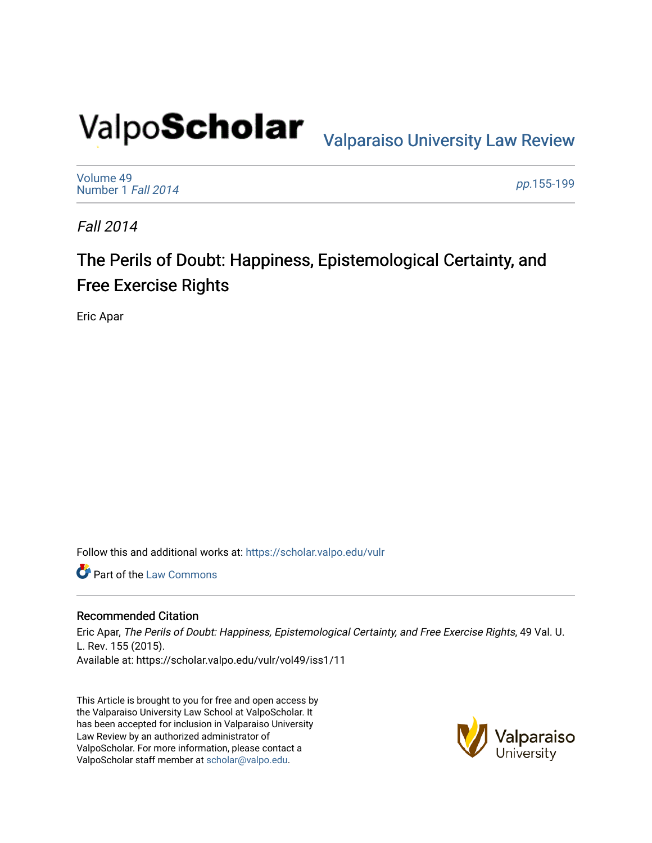# Valpo**Scholar** <sub>Valparaiso University Law Review</sub>

[Volume 49](https://scholar.valpo.edu/vulr/vol49) [Number 1](https://scholar.valpo.edu/vulr/vol49/iss1) Fall 2014

pp.[155-199](https://scholar.valpo.edu/vulr/vol49/iss1/11) 

Fall 2014

# The Perils of Doubt: Happiness, Epistemological Certainty, and Free Exercise Rights

Eric Apar

Follow this and additional works at: [https://scholar.valpo.edu/vulr](https://scholar.valpo.edu/vulr?utm_source=scholar.valpo.edu%2Fvulr%2Fvol49%2Fiss1%2F11&utm_medium=PDF&utm_campaign=PDFCoverPages)

Part of the [Law Commons](http://network.bepress.com/hgg/discipline/578?utm_source=scholar.valpo.edu%2Fvulr%2Fvol49%2Fiss1%2F11&utm_medium=PDF&utm_campaign=PDFCoverPages)

# Recommended Citation

Eric Apar, The Perils of Doubt: Happiness, Epistemological Certainty, and Free Exercise Rights, 49 Val. U. L. Rev. 155 (2015). Available at: https://scholar.valpo.edu/vulr/vol49/iss1/11

This Article is brought to you for free and open access by the Valparaiso University Law School at ValpoScholar. It has been accepted for inclusion in Valparaiso University Law Review by an authorized administrator of ValpoScholar. For more information, please contact a ValpoScholar staff member at [scholar@valpo.edu](mailto:scholar@valpo.edu).

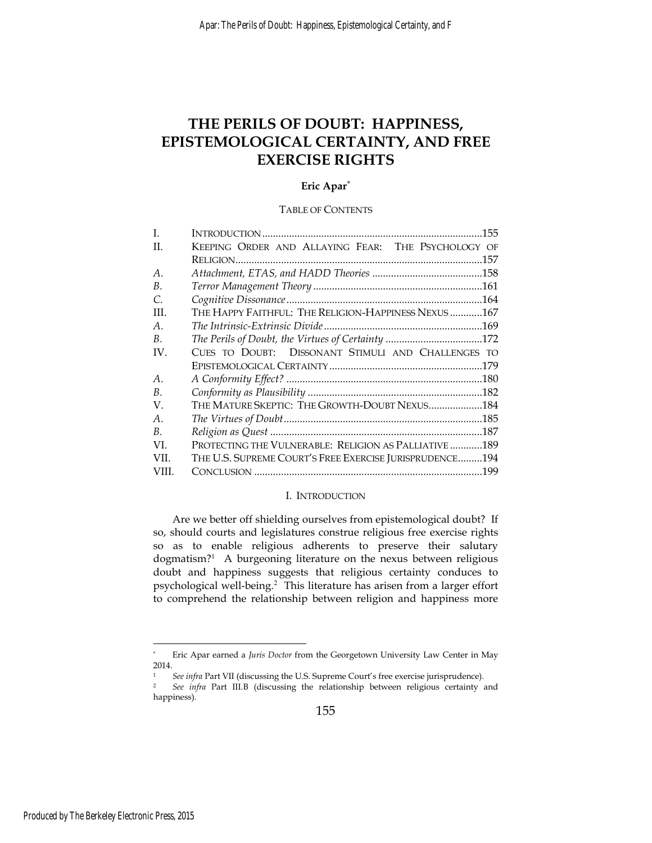# **THE PERILS OF DOUBT: HAPPINESS, EPISTEMOLOGICAL CERTAINTY, AND FREE EXERCISE RIGHTS**

#### **Eric Apar\***

#### TABLE OF CONTENTS

| L              |                                                         |
|----------------|---------------------------------------------------------|
| H.             | KEEPING ORDER AND ALLAYING FEAR: THE PSYCHOLOGY OF      |
|                |                                                         |
| A <sub>1</sub> |                                                         |
| В.             |                                                         |
| C.             |                                                         |
| III.           | THE HAPPY FAITHFUL: THE RELIGION-HAPPINESS NEXUS 167    |
| А.             |                                                         |
| B.             | The Perils of Doubt, the Virtues of Certainty 172       |
| IV.            | CUES TO DOUBT: DISSONANT STIMULI AND CHALLENGES TO      |
|                | .179                                                    |
| А.             |                                                         |
| B.             |                                                         |
| V.             | THE MATURE SKEPTIC: THE GROWTH-DOUBT NEXUS184           |
| А.             |                                                         |
| В.             | .187                                                    |
| VL.            | PROTECTING THE VULNERABLE: RELIGION AS PALLIATIVE 189   |
| VII.           | THE U.S. SUPREME COURT'S FREE EXERCISE JURISPRUDENCE194 |
| VIII.          | .199                                                    |

#### I. INTRODUCTION

Are we better off shielding ourselves from epistemological doubt? If so, should courts and legislatures construe religious free exercise rights so as to enable religious adherents to preserve their salutary dogmatism?<sup>1</sup> A burgeoning literature on the nexus between religious doubt and happiness suggests that religious certainty conduces to psychological well-being.<sup>2</sup> This literature has arisen from a larger effort to comprehend the relationship between religion and happiness more

<u>.</u>

<sup>\*</sup> Eric Apar earned a *Juris Doctor* from the Georgetown University Law Center in May 2014.

<sup>1</sup> *See infra* Part VII (discussing the U.S. Supreme Court's free exercise jurisprudence). 2 *See infra* Part III.B (discussing the relationship between religious certainty and happiness).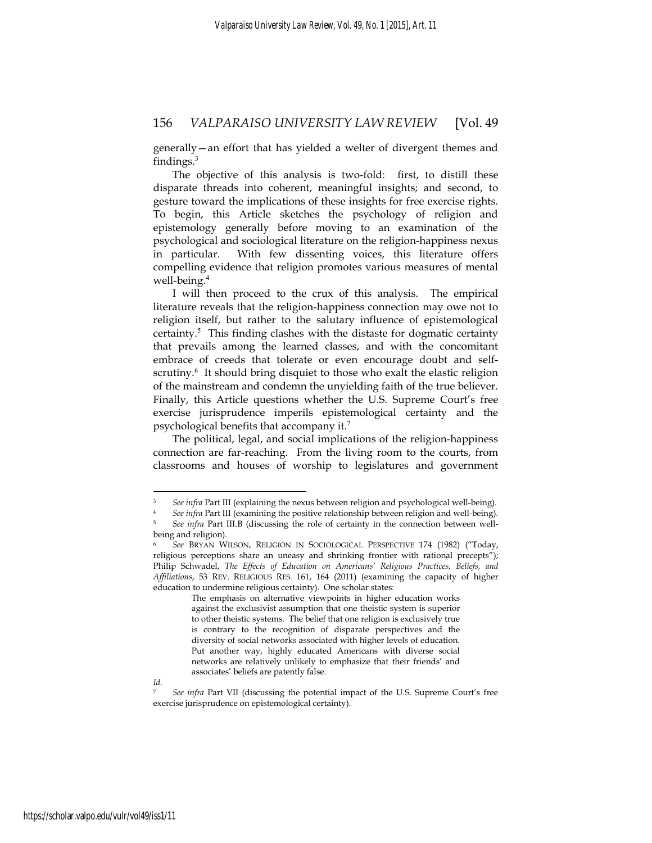generally—an effort that has yielded a welter of divergent themes and findings. $3$ 

The objective of this analysis is two-fold: first, to distill these disparate threads into coherent, meaningful insights; and second, to gesture toward the implications of these insights for free exercise rights. To begin, this Article sketches the psychology of religion and epistemology generally before moving to an examination of the psychological and sociological literature on the religion-happiness nexus in particular. With few dissenting voices, this literature offers compelling evidence that religion promotes various measures of mental well-being.<sup>4</sup>

I will then proceed to the crux of this analysis. The empirical literature reveals that the religion-happiness connection may owe not to religion itself, but rather to the salutary influence of epistemological certainty. $5$  This finding clashes with the distaste for dogmatic certainty that prevails among the learned classes, and with the concomitant embrace of creeds that tolerate or even encourage doubt and selfscrutiny.<sup>6</sup> It should bring disquiet to those who exalt the elastic religion of the mainstream and condemn the unyielding faith of the true believer. Finally, this Article questions whether the U.S. Supreme Court's free exercise jurisprudence imperils epistemological certainty and the psychological benefits that accompany it.<sup>7</sup>

The political, legal, and social implications of the religion-happiness connection are far-reaching. From the living room to the courts, from classrooms and houses of worship to legislatures and government

See infra Part III (explaining the nexus between religion and psychological well-being). See infra Part III (examining the positive relationship between religion and well-being). See infra Part III.B (discussing the role o being and religion).

<sup>6</sup> *See* BRYAN WILSON, RELIGION IN SOCIOLOGICAL PERSPECTIVE 174 (1982) ("Today, religious perceptions share an uneasy and shrinking frontier with rational precepts"); Philip Schwadel, *The Effects of Education on Americans' Religious Practices, Beliefs, and Affiliations*, 53 REV. RELIGIOUS RES. 161, 164 (2011) (examining the capacity of higher education to undermine religious certainty). One scholar states:

The emphasis on alternative viewpoints in higher education works against the exclusivist assumption that one theistic system is superior to other theistic systems. The belief that one religion is exclusively true is contrary to the recognition of disparate perspectives and the diversity of social networks associated with higher levels of education. Put another way, highly educated Americans with diverse social networks are relatively unlikely to emphasize that their friends' and associates' beliefs are patently false.

*Id.*

<sup>7</sup> *See infra* Part VII (discussing the potential impact of the U.S. Supreme Court's free exercise jurisprudence on epistemological certainty).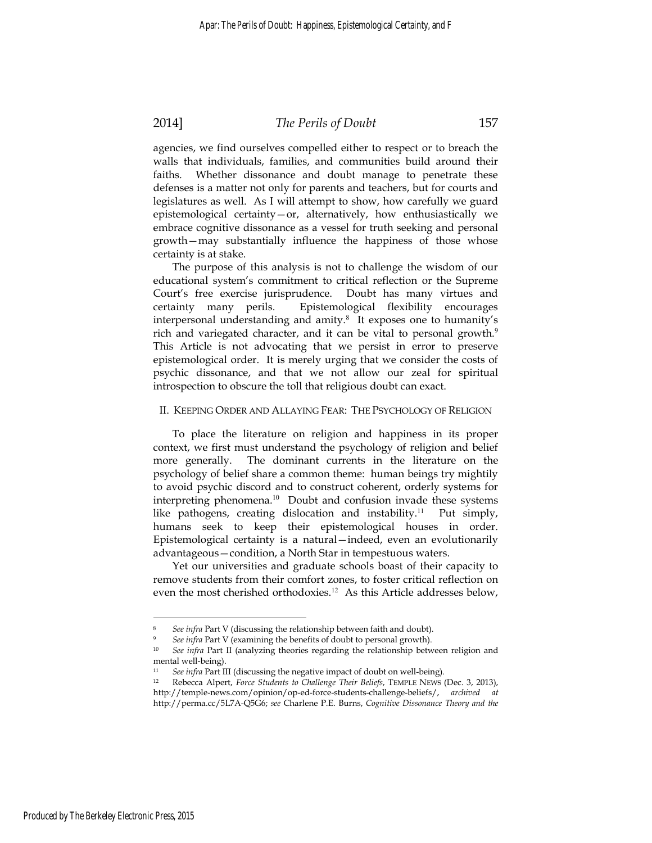#### 2014] *The Perils of Doubt* 157

agencies, we find ourselves compelled either to respect or to breach the walls that individuals, families, and communities build around their faiths. Whether dissonance and doubt manage to penetrate these defenses is a matter not only for parents and teachers, but for courts and legislatures as well. As I will attempt to show, how carefully we guard epistemological certainty—or, alternatively, how enthusiastically we embrace cognitive dissonance as a vessel for truth seeking and personal growth—may substantially influence the happiness of those whose certainty is at stake.

The purpose of this analysis is not to challenge the wisdom of our educational system's commitment to critical reflection or the Supreme Court's free exercise jurisprudence. Doubt has many virtues and certainty many perils. Epistemological flexibility encourages interpersonal understanding and amity.<sup>8</sup> It exposes one to humanity's rich and variegated character, and it can be vital to personal growth.<sup>9</sup> This Article is not advocating that we persist in error to preserve epistemological order. It is merely urging that we consider the costs of psychic dissonance, and that we not allow our zeal for spiritual introspection to obscure the toll that religious doubt can exact.

#### II. KEEPING ORDER AND ALLAYING FEAR: THE PSYCHOLOGY OF RELIGION

To place the literature on religion and happiness in its proper context, we first must understand the psychology of religion and belief more generally. The dominant currents in the literature on the psychology of belief share a common theme: human beings try mightily to avoid psychic discord and to construct coherent, orderly systems for interpreting phenomena.<sup>10</sup> Doubt and confusion invade these systems like pathogens, creating dislocation and instability.<sup>11</sup> Put simply, humans seek to keep their epistemological houses in order. Epistemological certainty is a natural—indeed, even an evolutionarily advantageous—condition, a North Star in tempestuous waters.

Yet our universities and graduate schools boast of their capacity to remove students from their comfort zones, to foster critical reflection on even the most cherished orthodoxies.<sup>12</sup> As this Article addresses below,

<u>.</u>

See infra Part V (discussing the relationship between faith and doubt). See infra Part V (examining the benefits of doubt to personal growth).

<sup>10</sup> *See infra* Part II (analyzing theories regarding the relationship between religion and mental well-being).

<sup>11</sup> *See infra* Part III (discussing the negative impact of doubt on well-being). 12 Rebecca Alpert, *Force Students to Challenge Their Beliefs*, TEMPLE NEWS (Dec. 3, 2013), http://temple-news.com/opinion/op-ed-force-students-challenge-beliefs/, *archived at*  http://perma.cc/5L7A-Q5G6; *see* Charlene P.E. Burns, *Cognitive Dissonance Theory and the*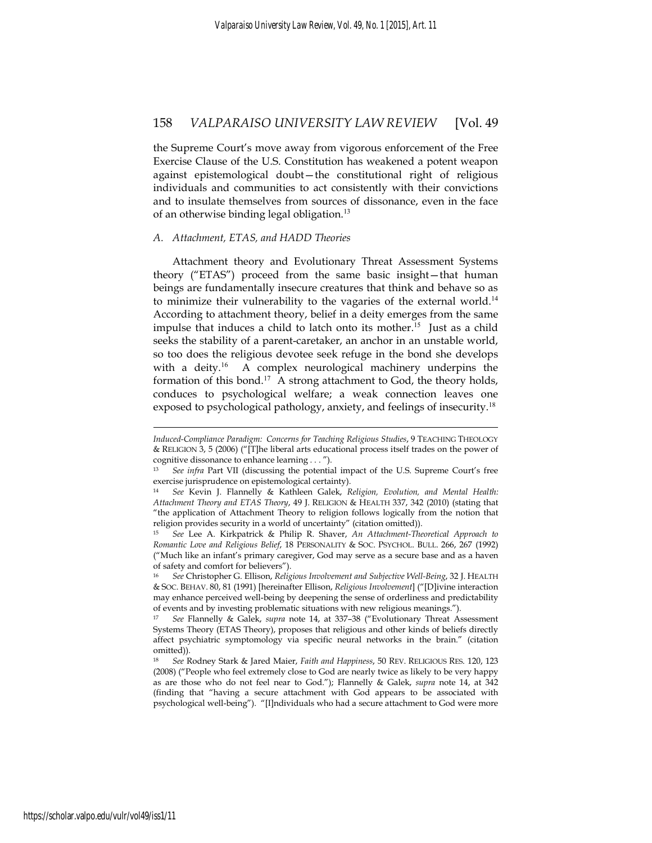the Supreme Court's move away from vigorous enforcement of the Free Exercise Clause of the U.S. Constitution has weakened a potent weapon against epistemological doubt—the constitutional right of religious individuals and communities to act consistently with their convictions and to insulate themselves from sources of dissonance, even in the face of an otherwise binding legal obligation.<sup>13</sup>

#### *A. Attachment, ETAS, and HADD Theories*

Attachment theory and Evolutionary Threat Assessment Systems theory ("ETAS") proceed from the same basic insight—that human beings are fundamentally insecure creatures that think and behave so as to minimize their vulnerability to the vagaries of the external world.<sup>14</sup> According to attachment theory, belief in a deity emerges from the same impulse that induces a child to latch onto its mother.<sup>15</sup> Just as a child seeks the stability of a parent-caretaker, an anchor in an unstable world, so too does the religious devotee seek refuge in the bond she develops with a deity.<sup>16</sup> A complex neurological machinery underpins the formation of this bond.<sup>17</sup> A strong attachment to God, the theory holds, conduces to psychological welfare; a weak connection leaves one exposed to psychological pathology, anxiety, and feelings of insecurity.<sup>18</sup>

*Induced-Compliance Paradigm: Concerns for Teaching Religious Studies*, 9 TEACHING THEOLOGY & RELIGION 3, 5 (2006) ("[T]he liberal arts educational process itself trades on the power of cognitive dissonance to enhance learning . . . ").

<sup>13</sup> *See infra* Part VII (discussing the potential impact of the U.S. Supreme Court's free exercise jurisprudence on epistemological certainty).

<sup>14</sup> *See* Kevin J. Flannelly & Kathleen Galek, *Religion, Evolution, and Mental Health: Attachment Theory and ETAS Theory*, 49 J. RELIGION & HEALTH 337, 342 (2010) (stating that "the application of Attachment Theory to religion follows logically from the notion that religion provides security in a world of uncertainty" (citation omitted)).

<sup>15</sup> *See* Lee A. Kirkpatrick & Philip R. Shaver, *An Attachment-Theoretical Approach to Romantic Love and Religious Belief*, 18 PERSONALITY & SOC. PSYCHOL. BULL. 266, 267 (1992) ("Much like an infant's primary caregiver, God may serve as a secure base and as a haven of safety and comfort for believers").

<sup>16</sup> *See* Christopher G. Ellison, *Religious Involvement and Subjective Well-Being*, 32 J. HEALTH & SOC. BEHAV. 80, 81 (1991) [hereinafter Ellison, *Religious Involvement*] ("[D]ivine interaction may enhance perceived well-being by deepening the sense of orderliness and predictability of events and by investing problematic situations with new religious meanings.").

<sup>17</sup> *See* Flannelly & Galek, *supra* note 14, at 337–38 ("Evolutionary Threat Assessment Systems Theory (ETAS Theory), proposes that religious and other kinds of beliefs directly affect psychiatric symptomology via specific neural networks in the brain." (citation omitted)).

<sup>18</sup> *See* Rodney Stark & Jared Maier, *Faith and Happiness*, 50 REV. RELIGIOUS RES. 120, 123 (2008) ("People who feel extremely close to God are nearly twice as likely to be very happy as are those who do not feel near to God."); Flannelly & Galek, *supra* note 14, at 342 (finding that "having a secure attachment with God appears to be associated with psychological well-being"). "[I]ndividuals who had a secure attachment to God were more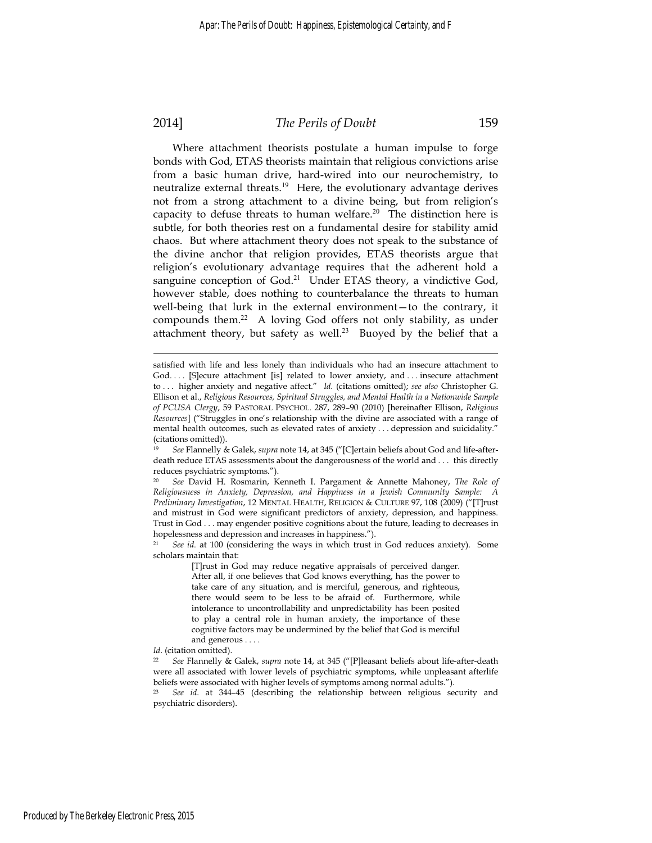### 2014] *The Perils of Doubt* 159

Where attachment theorists postulate a human impulse to forge bonds with God, ETAS theorists maintain that religious convictions arise from a basic human drive, hard-wired into our neurochemistry, to neutralize external threats.<sup>19</sup> Here, the evolutionary advantage derives not from a strong attachment to a divine being, but from religion's capacity to defuse threats to human welfare.<sup>20</sup> The distinction here is subtle, for both theories rest on a fundamental desire for stability amid chaos. But where attachment theory does not speak to the substance of the divine anchor that religion provides, ETAS theorists argue that religion's evolutionary advantage requires that the adherent hold a sanguine conception of God.<sup>21</sup> Under ETAS theory, a vindictive God, however stable, does nothing to counterbalance the threats to human well-being that lurk in the external environment—to the contrary, it compounds them.<sup>22</sup> A loving God offers not only stability, as under attachment theory, but safety as well.<sup>23</sup> Buoyed by the belief that a

satisfied with life and less lonely than individuals who had an insecure attachment to God. . . . [S]ecure attachment [is] related to lower anxiety, and . . . insecure attachment to . . . higher anxiety and negative affect." *Id.* (citations omitted); *see also* Christopher G. Ellison et al., *Religious Resources, Spiritual Struggles, and Mental Health in a Nationwide Sample of PCUSA Clergy*, 59 PASTORAL PSYCHOL. 287, 289–90 (2010) [hereinafter Ellison, *Religious Resources*] ("Struggles in one's relationship with the divine are associated with a range of mental health outcomes, such as elevated rates of anxiety . . . depression and suicidality." (citations omitted)).

<sup>19</sup> *See* Flannelly & Galek, *supra* note 14, at 345 ("[C]ertain beliefs about God and life-afterdeath reduce ETAS assessments about the dangerousness of the world and . . . this directly reduces psychiatric symptoms.").

<sup>20</sup> *See* David H. Rosmarin, Kenneth I. Pargament & Annette Mahoney, *The Role of Religiousness in Anxiety, Depression, and Happiness in a Jewish Community Sample: A Preliminary Investigation*, 12 MENTAL HEALTH, RELIGION & CULTURE 97, 108 (2009) ("[T]rust and mistrust in God were significant predictors of anxiety, depression, and happiness. Trust in God . . . may engender positive cognitions about the future, leading to decreases in hopelessness and depression and increases in happiness.").

<sup>21</sup> *See id*. at 100 (considering the ways in which trust in God reduces anxiety). Some scholars maintain that:

<sup>[</sup>T]rust in God may reduce negative appraisals of perceived danger. After all, if one believes that God knows everything, has the power to take care of any situation, and is merciful, generous, and righteous, there would seem to be less to be afraid of. Furthermore, while intolerance to uncontrollability and unpredictability has been posited to play a central role in human anxiety, the importance of these cognitive factors may be undermined by the belief that God is merciful and generous . . . .

*Id*. (citation omitted).

<sup>22</sup> *See* Flannelly & Galek, *supra* note 14, at 345 ("[P]leasant beliefs about life-after-death were all associated with lower levels of psychiatric symptoms, while unpleasant afterlife beliefs were associated with higher levels of symptoms among normal adults.").

<sup>23</sup> *See id*. at 344–45 (describing the relationship between religious security and psychiatric disorders).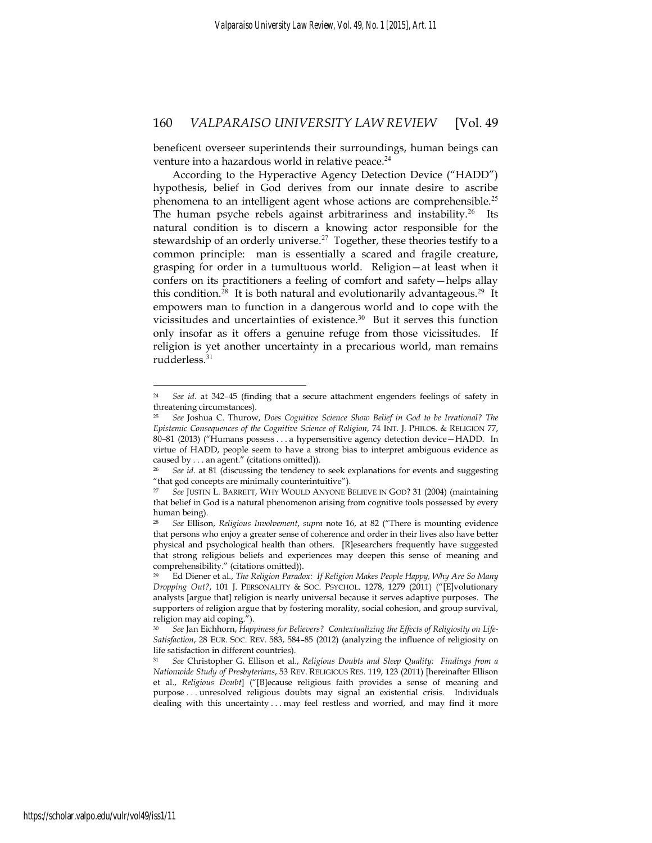beneficent overseer superintends their surroundings, human beings can venture into a hazardous world in relative peace.<sup>24</sup>

According to the Hyperactive Agency Detection Device ("HADD") hypothesis, belief in God derives from our innate desire to ascribe phenomena to an intelligent agent whose actions are comprehensible.<sup>25</sup> The human psyche rebels against arbitrariness and instability.<sup>26</sup> Its natural condition is to discern a knowing actor responsible for the stewardship of an orderly universe.<sup>27</sup> Together, these theories testify to a common principle: man is essentially a scared and fragile creature, grasping for order in a tumultuous world. Religion—at least when it confers on its practitioners a feeling of comfort and safety—helps allay this condition.<sup>28</sup> It is both natural and evolutionarily advantageous.<sup>29</sup> It empowers man to function in a dangerous world and to cope with the vicissitudes and uncertainties of existence.<sup>30</sup> But it serves this function only insofar as it offers a genuine refuge from those vicissitudes. If religion is yet another uncertainty in a precarious world, man remains rudderless.<sup>31</sup>

<u>.</u>

<sup>24</sup> *See id*. at 342–45 (finding that a secure attachment engenders feelings of safety in threatening circumstances).

<sup>25</sup> *See* Joshua C. Thurow, *Does Cognitive Science Show Belief in God to be Irrational? The Epistemic Consequences of the Cognitive Science of Religion*, 74 INT. J. PHILOS. & RELIGION 77, 80–81 (2013) ("Humans possess . . . a hypersensitive agency detection device—HADD. In virtue of HADD, people seem to have a strong bias to interpret ambiguous evidence as caused by . . . an agent." (citations omitted)).

<sup>26</sup> *See id.* at 81 (discussing the tendency to seek explanations for events and suggesting "that god concepts are minimally counterintuitive").

<sup>27</sup> *See* JUSTIN L. BARRETT, WHY WOULD ANYONE BELIEVE IN GOD? 31 (2004) (maintaining that belief in God is a natural phenomenon arising from cognitive tools possessed by every human being).

<sup>28</sup> *See* Ellison, *Religious Involvement*, *supra* note 16, at 82 ("There is mounting evidence that persons who enjoy a greater sense of coherence and order in their lives also have better physical and psychological health than others. [R]esearchers frequently have suggested that strong religious beliefs and experiences may deepen this sense of meaning and comprehensibility." (citations omitted)).

<sup>29</sup> Ed Diener et al., *The Religion Paradox: If Religion Makes People Happy, Why Are So Many Dropping Out?*, 101 J. PERSONALITY & SOC. PSYCHOL. 1278, 1279 (2011) ("[E]volutionary analysts [argue that] religion is nearly universal because it serves adaptive purposes. The supporters of religion argue that by fostering morality, social cohesion, and group survival, religion may aid coping.").

<sup>30</sup> *See* Jan Eichhorn, *Happiness for Believers? Contextualizing the Effects of Religiosity on Life-Satisfaction*, 28 EUR. SOC. REV. 583, 584–85 (2012) (analyzing the influence of religiosity on life satisfaction in different countries).

<sup>31</sup> *See* Christopher G. Ellison et al., *Religious Doubts and Sleep Quality: Findings from a Nationwide Study of Presbyterians*, 53 REV. RELIGIOUS RES. 119, 123 (2011) [hereinafter Ellison et al., *Religious Doubt*] ("[B]ecause religious faith provides a sense of meaning and purpose . . . unresolved religious doubts may signal an existential crisis. Individuals dealing with this uncertainty . . . may feel restless and worried, and may find it more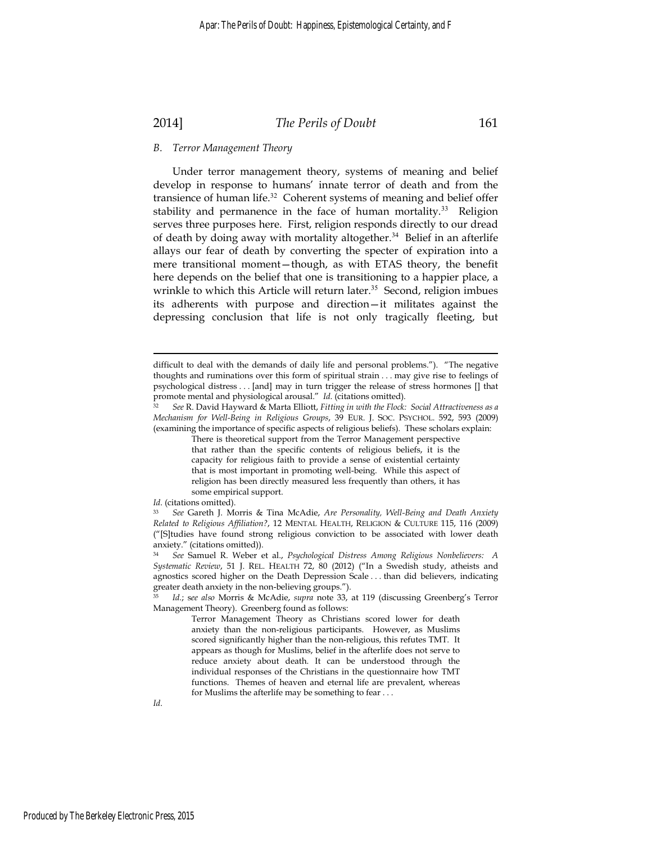# 2014] *The Perils of Doubt* 161

#### *B. Terror Management Theory*

Under terror management theory, systems of meaning and belief develop in response to humans' innate terror of death and from the transience of human life.<sup>32</sup> Coherent systems of meaning and belief offer stability and permanence in the face of human mortality.<sup>33</sup> Religion serves three purposes here. First, religion responds directly to our dread of death by doing away with mortality altogether.<sup>34</sup> Belief in an afterlife allays our fear of death by converting the specter of expiration into a mere transitional moment—though, as with ETAS theory, the benefit here depends on the belief that one is transitioning to a happier place, a wrinkle to which this Article will return later.<sup>35</sup> Second, religion imbues its adherents with purpose and direction—it militates against the depressing conclusion that life is not only tragically fleeting, but

There is theoretical support from the Terror Management perspective that rather than the specific contents of religious beliefs, it is the capacity for religious faith to provide a sense of existential certainty that is most important in promoting well-being. While this aspect of religion has been directly measured less frequently than others, it has some empirical support.

difficult to deal with the demands of daily life and personal problems."). "The negative thoughts and ruminations over this form of spiritual strain . . . may give rise to feelings of psychological distress . . . [and] may in turn trigger the release of stress hormones [] that promote mental and physiological arousal." *Id*. (citations omitted). 32 *See* R. David Hayward & Marta Elliott, *Fitting in with the Flock: Social Attractiveness as a* 

*Mechanism for Well-Being in Religious Groups*, 39 EUR. J. SOC. PSYCHOL. 592, 593 (2009) (examining the importance of specific aspects of religious beliefs). These scholars explain:

*Id*. (citations omitted).

<sup>33</sup> *See* Gareth J. Morris & Tina McAdie, *Are Personality, Well-Being and Death Anxiety Related to Religious Affiliation?*, 12 MENTAL HEALTH, RELIGION & CULTURE 115, 116 (2009) ("[S]tudies have found strong religious conviction to be associated with lower death anxiety." (citations omitted)).

<sup>34</sup> *See* Samuel R. Weber et al., *Psychological Distress Among Religious Nonbelievers: A Systematic Review*, 51 J. REL. HEALTH 72, 80 (2012) ("In a Swedish study, atheists and agnostics scored higher on the Death Depression Scale . . . than did believers, indicating greater death anxiety in the non-believing groups.").

<sup>35</sup> *Id.*; s*ee also* Morris & McAdie, *supra* note 33, at 119 (discussing Greenberg's Terror Management Theory). Greenberg found as follows:

Terror Management Theory as Christians scored lower for death anxiety than the non-religious participants. However, as Muslims scored significantly higher than the non-religious, this refutes TMT. It appears as though for Muslims, belief in the afterlife does not serve to reduce anxiety about death. It can be understood through the individual responses of the Christians in the questionnaire how TMT functions. Themes of heaven and eternal life are prevalent, whereas for Muslims the afterlife may be something to fear . . .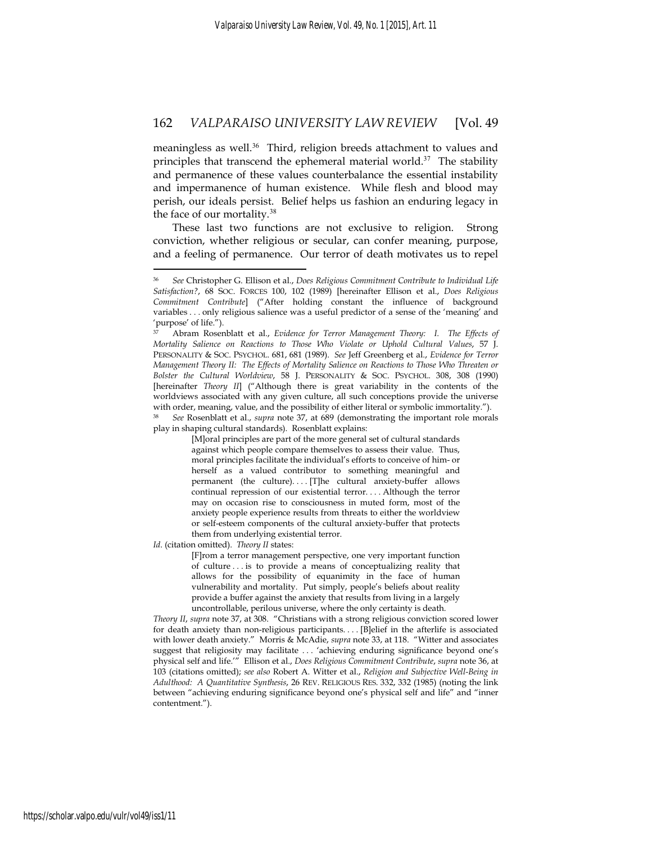meaningless as well.<sup>36</sup> Third, religion breeds attachment to values and principles that transcend the ephemeral material world. $37$  The stability and permanence of these values counterbalance the essential instability and impermanence of human existence. While flesh and blood may perish, our ideals persist. Belief helps us fashion an enduring legacy in the face of our mortality.<sup>38</sup>

These last two functions are not exclusive to religion. Strong conviction, whether religious or secular, can confer meaning, purpose, and a feeling of permanence. Our terror of death motivates us to repel

<sup>38</sup> *See* Rosenblatt et al., *supra* note 37, at 689 (demonstrating the important role morals play in shaping cultural standards). Rosenblatt explains:

> [M]oral principles are part of the more general set of cultural standards against which people compare themselves to assess their value. Thus, moral principles facilitate the individual's efforts to conceive of him- or herself as a valued contributor to something meaningful and permanent (the culture).... [T]he cultural anxiety-buffer allows continual repression of our existential terror. . . . Although the terror may on occasion rise to consciousness in muted form, most of the anxiety people experience results from threats to either the worldview or self-esteem components of the cultural anxiety-buffer that protects them from underlying existential terror.

*Id*. (citation omitted). *Theory II* states:

<u>.</u>

[F]rom a terror management perspective, one very important function of culture . . . is to provide a means of conceptualizing reality that allows for the possibility of equanimity in the face of human vulnerability and mortality. Put simply, people's beliefs about reality provide a buffer against the anxiety that results from living in a largely uncontrollable, perilous universe, where the only certainty is death.

*Theory II*, *supra* note 37, at 308. "Christians with a strong religious conviction scored lower for death anxiety than non-religious participants. . . . [B]elief in the afterlife is associated with lower death anxiety." Morris & McAdie, *supra* note 33, at 118. "Witter and associates suggest that religiosity may facilitate . . . 'achieving enduring significance beyond one's physical self and life.'" Ellison et al., *Does Religious Commitment Contribute*, *supra* note 36, at 103 (citations omitted); *see also* Robert A. Witter et al., *Religion and Subjective Well-Being in Adulthood: A Quantitative Synthesis*, 26 REV. RELIGIOUS RES. 332, 332 (1985) (noting the link between "achieving enduring significance beyond one's physical self and life" and "inner contentment.").

<sup>36</sup> *See* Christopher G. Ellison et al., *Does Religious Commitment Contribute to Individual Life Satisfaction?*, 68 SOC. FORCES 100, 102 (1989) [hereinafter Ellison et al., *Does Religious Commitment Contribute*] ("After holding constant the influence of background variables . . . only religious salience was a useful predictor of a sense of the 'meaning' and 'purpose' of life.").

<sup>37</sup> Abram Rosenblatt et al., *Evidence for Terror Management Theory: I. The Effects of Mortality Salience on Reactions to Those Who Violate or Uphold Cultural Values*, 57 J. PERSONALITY & SOC. PSYCHOL. 681, 681 (1989). *See* Jeff Greenberg et al., *Evidence for Terror Management Theory II: The Effects of Mortality Salience on Reactions to Those Who Threaten or Bolster the Cultural Worldview*, 58 J. PERSONALITY & SOC. PSYCHOL. 308, 308 (1990) [hereinafter *Theory II*] ("Although there is great variability in the contents of the worldviews associated with any given culture, all such conceptions provide the universe with order, meaning, value, and the possibility of either literal or symbolic immortality.").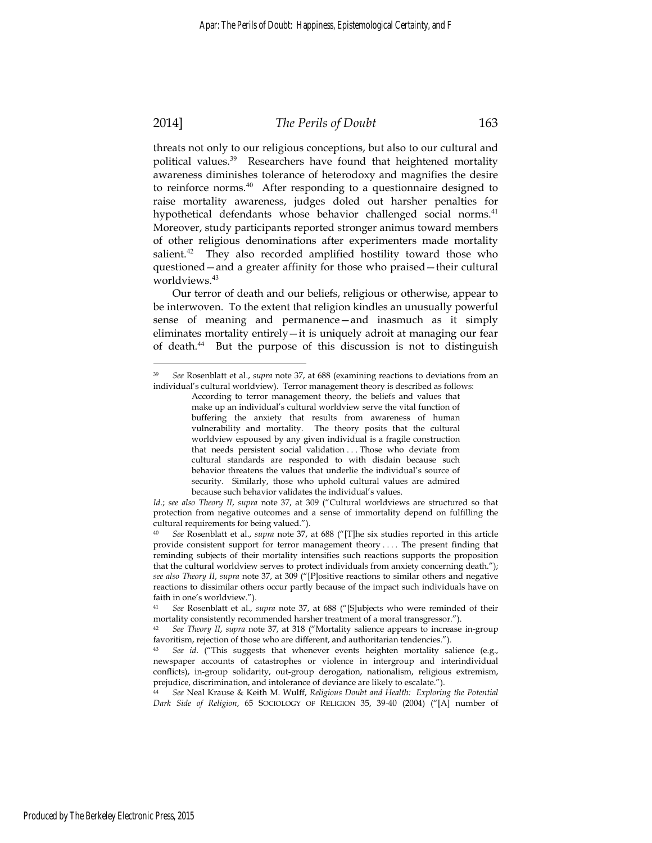#### 2014] *The Perils of Doubt* 163

threats not only to our religious conceptions, but also to our cultural and political values.<sup>39</sup> Researchers have found that heightened mortality awareness diminishes tolerance of heterodoxy and magnifies the desire to reinforce norms.<sup>40</sup> After responding to a questionnaire designed to raise mortality awareness, judges doled out harsher penalties for hypothetical defendants whose behavior challenged social norms.<sup>41</sup> Moreover, study participants reported stronger animus toward members of other religious denominations after experimenters made mortality salient.<sup>42</sup> They also recorded amplified hostility toward those who questioned—and a greater affinity for those who praised—their cultural worldviews.<sup>43</sup>

Our terror of death and our beliefs, religious or otherwise, appear to be interwoven. To the extent that religion kindles an unusually powerful sense of meaning and permanence—and inasmuch as it simply eliminates mortality entirely—it is uniquely adroit at managing our fear of death.<sup>44</sup> But the purpose of this discussion is not to distinguish

<sup>39</sup> *See* Rosenblatt et al., *supra* note 37, at 688 (examining reactions to deviations from an individual's cultural worldview). Terror management theory is described as follows:

According to terror management theory, the beliefs and values that make up an individual's cultural worldview serve the vital function of buffering the anxiety that results from awareness of human vulnerability and mortality. The theory posits that the cultural worldview espoused by any given individual is a fragile construction that needs persistent social validation . . . Those who deviate from cultural standards are responded to with disdain because such behavior threatens the values that underlie the individual's source of security. Similarly, those who uphold cultural values are admired because such behavior validates the individual's values.

*Id*.; *see also Theory II*, *supra* note 37, at 309 ("Cultural worldviews are structured so that protection from negative outcomes and a sense of immortality depend on fulfilling the cultural requirements for being valued.").

<sup>40</sup> *See* Rosenblatt et al., *supra* note 37, at 688 ("[T]he six studies reported in this article provide consistent support for terror management theory . . . . The present finding that reminding subjects of their mortality intensifies such reactions supports the proposition that the cultural worldview serves to protect individuals from anxiety concerning death."); *see also Theory II*, *supra* note 37, at 309 ("[P]ositive reactions to similar others and negative reactions to dissimilar others occur partly because of the impact such individuals have on faith in one's worldview.").

<sup>41</sup> *See* Rosenblatt et al., *supra* note 37, at 688 ("[S]ubjects who were reminded of their mortality consistently recommended harsher treatment of a moral transgressor.").

<sup>42</sup> *See Theory II*, *supra* note 37, at 318 ("Mortality salience appears to increase in-group favoritism, rejection of those who are different, and authoritarian tendencies.").

<sup>43</sup> *See id*. ("This suggests that whenever events heighten mortality salience (e.g., newspaper accounts of catastrophes or violence in intergroup and interindividual conflicts), in-group solidarity, out-group derogation, nationalism, religious extremism, prejudice, discrimination, and intolerance of deviance are likely to escalate.").

<sup>44</sup> *See* Neal Krause & Keith M. Wulff, *Religious Doubt and Health: Exploring the Potential Dark Side of Religion*, 65 SOCIOLOGY OF RELIGION 35, 39-40 (2004) ("[A] number of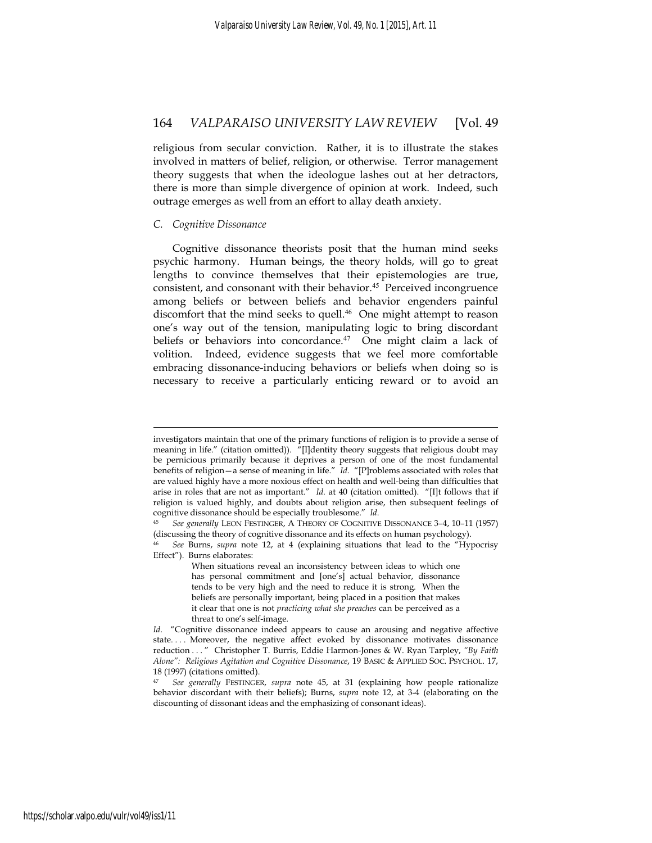religious from secular conviction. Rather, it is to illustrate the stakes involved in matters of belief, religion, or otherwise. Terror management theory suggests that when the ideologue lashes out at her detractors, there is more than simple divergence of opinion at work. Indeed, such outrage emerges as well from an effort to allay death anxiety.

#### *C. Cognitive Dissonance*

1

Cognitive dissonance theorists posit that the human mind seeks psychic harmony. Human beings, the theory holds, will go to great lengths to convince themselves that their epistemologies are true, consistent, and consonant with their behavior.<sup>45</sup> Perceived incongruence among beliefs or between beliefs and behavior engenders painful discomfort that the mind seeks to quell.<sup>46</sup> One might attempt to reason one's way out of the tension, manipulating logic to bring discordant beliefs or behaviors into concordance.<sup>47</sup> One might claim a lack of volition. Indeed, evidence suggests that we feel more comfortable embracing dissonance-inducing behaviors or beliefs when doing so is necessary to receive a particularly enticing reward or to avoid an

investigators maintain that one of the primary functions of religion is to provide a sense of meaning in life." (citation omitted)). "[I]dentity theory suggests that religious doubt may be pernicious primarily because it deprives a person of one of the most fundamental benefits of religion—a sense of meaning in life." *Id*. "[P]roblems associated with roles that are valued highly have a more noxious effect on health and well-being than difficulties that arise in roles that are not as important." *Id*. at 40 (citation omitted). "[I]t follows that if religion is valued highly, and doubts about religion arise, then subsequent feelings of cognitive dissonance should be especially troublesome." *Id*. 45 *See generally* LEON FESTINGER, <sup>A</sup> THEORY OF COGNITIVE DISSONANCE 3–4, 10–11 (1957)

<sup>(</sup>discussing the theory of cognitive dissonance and its effects on human psychology).

<sup>46</sup> *See* Burns, *supra* note 12, at 4 (explaining situations that lead to the "Hypocrisy Effect"). Burns elaborates:

When situations reveal an inconsistency between ideas to which one has personal commitment and [one's] actual behavior, dissonance tends to be very high and the need to reduce it is strong. When the beliefs are personally important, being placed in a position that makes it clear that one is not *practicing what she preaches* can be perceived as a threat to one's self-image.

*Id.* "Cognitive dissonance indeed appears to cause an arousing and negative affective state. . . . Moreover, the negative affect evoked by dissonance motivates dissonance reduction . . . " Christopher T. Burris, Eddie Harmon-Jones & W. Ryan Tarpley, *"By Faith Alone": Religious Agitation and Cognitive Dissonance*, 19 BASIC & APPLIED SOC. PSYCHOL. 17, 18 (1997) (citations omitted).

<sup>47</sup> *See generally* FESTINGER, *supra* note 45, at 31 (explaining how people rationalize behavior discordant with their beliefs); Burns, *supra* note 12, at 3-4 (elaborating on the discounting of dissonant ideas and the emphasizing of consonant ideas).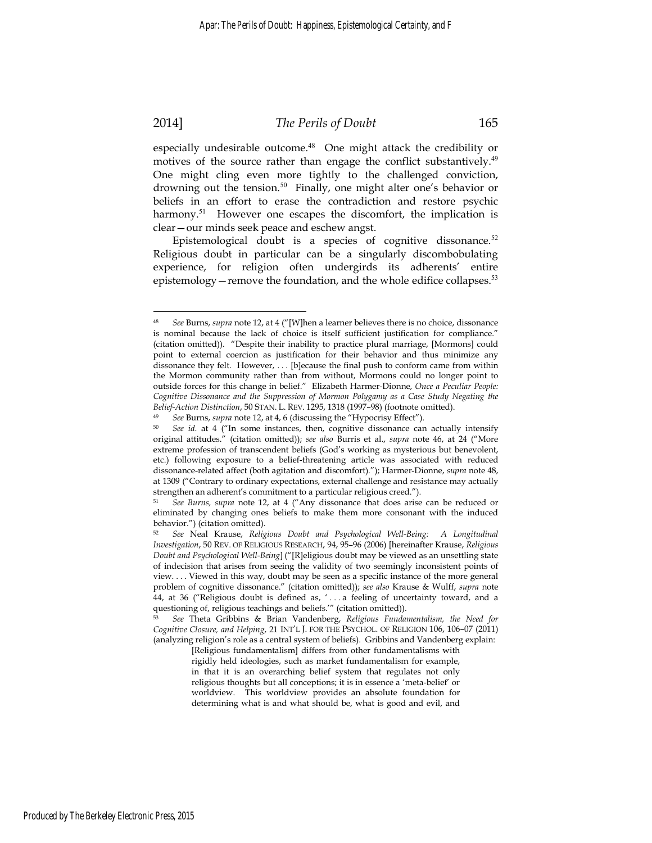<u>.</u>

### 2014] *The Perils of Doubt* 165

especially undesirable outcome.<sup>48</sup> One might attack the credibility or motives of the source rather than engage the conflict substantively.<sup>49</sup> One might cling even more tightly to the challenged conviction, drowning out the tension.<sup>50</sup> Finally, one might alter one's behavior or beliefs in an effort to erase the contradiction and restore psychic harmony.<sup>51</sup> However one escapes the discomfort, the implication is clear—our minds seek peace and eschew angst.

Epistemological doubt is a species of cognitive dissonance.<sup>52</sup> Religious doubt in particular can be a singularly discombobulating experience, for religion often undergirds its adherents' entire epistemology—remove the foundation, and the whole edifice collapses.<sup>53</sup>

<sup>48</sup> *See* Burns, *supra* note 12, at 4 ("[W]hen a learner believes there is no choice, dissonance is nominal because the lack of choice is itself sufficient justification for compliance." (citation omitted)). "Despite their inability to practice plural marriage, [Mormons] could point to external coercion as justification for their behavior and thus minimize any dissonance they felt. However, . . . [b]ecause the final push to conform came from within the Mormon community rather than from without, Mormons could no longer point to outside forces for this change in belief." Elizabeth Harmer-Dionne, *Once a Peculiar People: Cognitive Dissonance and the Suppression of Mormon Polygamy as a Case Study Negating the*  Belief-Action Distinction, 50 STAN. L. REV. 1295, 1318 (1997–98) (footnote omitted).<br><sup>49</sup> See Burns, supra note 12, at 4, 6 (discussing the "Hypocrisy Effect").<br><sup>50</sup> See id. at 4 ("In some instances, then, cognitive disson

original attitudes." (citation omitted)); *see also* Burris et al., *supra* note 46, at 24 ("More extreme profession of transcendent beliefs (God's working as mysterious but benevolent, etc.) following exposure to a belief-threatening article was associated with reduced dissonance-related affect (both agitation and discomfort)."); Harmer-Dionne, *supra* note 48, at 1309 ("Contrary to ordinary expectations, external challenge and resistance may actually strengthen an adherent's commitment to a particular religious creed.").

<sup>51</sup> *See Burns, supra* note 12, at 4 ("Any dissonance that does arise can be reduced or eliminated by changing ones beliefs to make them more consonant with the induced behavior.") (citation omitted).

<sup>52</sup> *See* Neal Krause, *Religious Doubt and Psychological Well-Being: A Longitudinal Investigation*, 50 REV. OF RELIGIOUS RESEARCH, 94, 95–96 (2006) [hereinafter Krause, *Religious Doubt and Psychological Well-Being*] ("[R]eligious doubt may be viewed as an unsettling state of indecision that arises from seeing the validity of two seemingly inconsistent points of view. . . . Viewed in this way, doubt may be seen as a specific instance of the more general problem of cognitive dissonance." (citation omitted)); *see also* Krause & Wulff, *supra* note 44, at 36 ("Religious doubt is defined as, ' . . . a feeling of uncertainty toward, and a questioning of, religious teachings and beliefs.'" (citation omitted)).

<sup>53</sup> *See* Theta Gribbins & Brian Vandenberg, *Religious Fundamentalism, the Need for Cognitive Closure, and Helping*, 21 INT'L J. FOR THE PSYCHOL. OF RELIGION 106, 106–07 (2011) (analyzing religion's role as a central system of beliefs). Gribbins and Vandenberg explain:

<sup>[</sup>Religious fundamentalism] differs from other fundamentalisms with

rigidly held ideologies, such as market fundamentalism for example, in that it is an overarching belief system that regulates not only religious thoughts but all conceptions; it is in essence a 'meta-belief' or worldview. This worldview provides an absolute foundation for determining what is and what should be, what is good and evil, and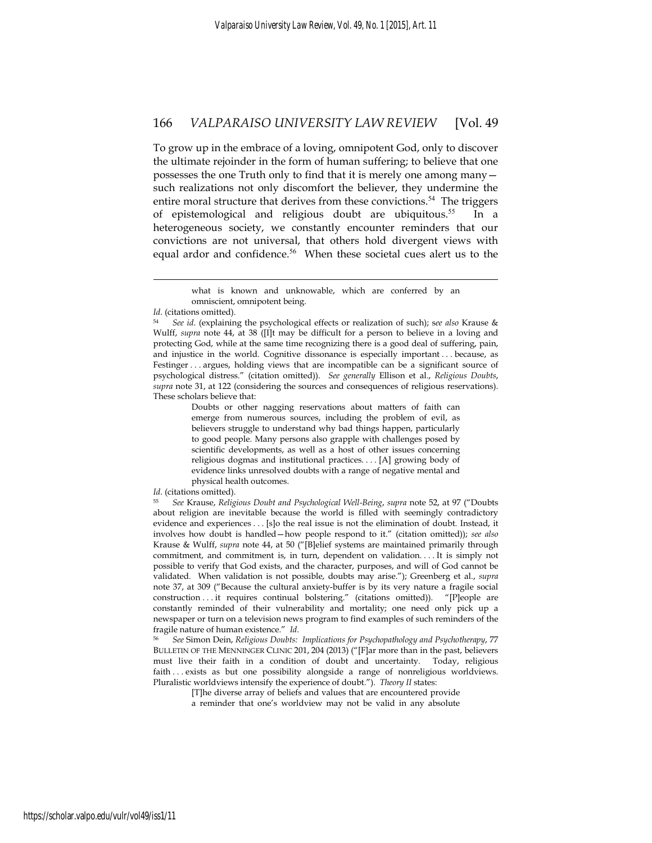To grow up in the embrace of a loving, omnipotent God, only to discover the ultimate rejoinder in the form of human suffering; to believe that one possesses the one Truth only to find that it is merely one among many such realizations not only discomfort the believer, they undermine the entire moral structure that derives from these convictions.<sup>54</sup> The triggers of epistemological and religious doubt are ubiquitous.<sup>55</sup> In a heterogeneous society, we constantly encounter reminders that our convictions are not universal, that others hold divergent views with equal ardor and confidence.<sup>56</sup> When these societal cues alert us to the

*Id*. (citations omitted).

1

Doubts or other nagging reservations about matters of faith can emerge from numerous sources, including the problem of evil, as believers struggle to understand why bad things happen, particularly to good people. Many persons also grapple with challenges posed by scientific developments, as well as a host of other issues concerning religious dogmas and institutional practices. . . . [A] growing body of evidence links unresolved doubts with a range of negative mental and physical health outcomes.

*Id*. (citations omitted).

BULLETIN OF THE MENNINGER CLINIC 201, 204 (2013) ("[F]ar more than in the past, believers must live their faith in a condition of doubt and uncertainty. Today, religious faith . . . exists as but one possibility alongside a range of nonreligious worldviews. Pluralistic worldviews intensify the experience of doubt."). *Theory II* states:

> [T]he diverse array of beliefs and values that are encountered provide a reminder that one's worldview may not be valid in any absolute

what is known and unknowable, which are conferred by an omniscient, omnipotent being.

<sup>54</sup> *See id*. (explaining the psychological effects or realization of such); s*ee also* Krause & Wulff, *supra* note 44, at 38 ([I]t may be difficult for a person to believe in a loving and protecting God, while at the same time recognizing there is a good deal of suffering, pain, and injustice in the world. Cognitive dissonance is especially important . . . because, as Festinger . . . argues, holding views that are incompatible can be a significant source of psychological distress." (citation omitted)). *See generally* Ellison et al., *Religious Doubts*, *supra* note 31, at 122 (considering the sources and consequences of religious reservations). These scholars believe that:

<sup>55</sup> *See* Krause, *Religious Doubt and Psychological Well-Being*, *supra* note 52, at 97 ("Doubts about religion are inevitable because the world is filled with seemingly contradictory evidence and experiences . . . [s]o the real issue is not the elimination of doubt. Instead, it involves how doubt is handled—how people respond to it." (citation omitted)); *see also*  Krause & Wulff, *supra* note 44, at 50 ("[B]elief systems are maintained primarily through commitment, and commitment is, in turn, dependent on validation. . . . It is simply not possible to verify that God exists, and the character, purposes, and will of God cannot be validated. When validation is not possible, doubts may arise."); Greenberg et al., *supra*  note 37, at 309 ("Because the cultural anxiety-buffer is by its very nature a fragile social construction . . . it requires continual bolstering." (citations omitted)). "[P]eople are constantly reminded of their vulnerability and mortality; one need only pick up a newspaper or turn on a television news program to find examples of such reminders of the fragile nature of human existence." *Id*. 56 *See* Simon Dein, *Religious Doubts: Implications for Psychopathology and Psychotherapy*, 77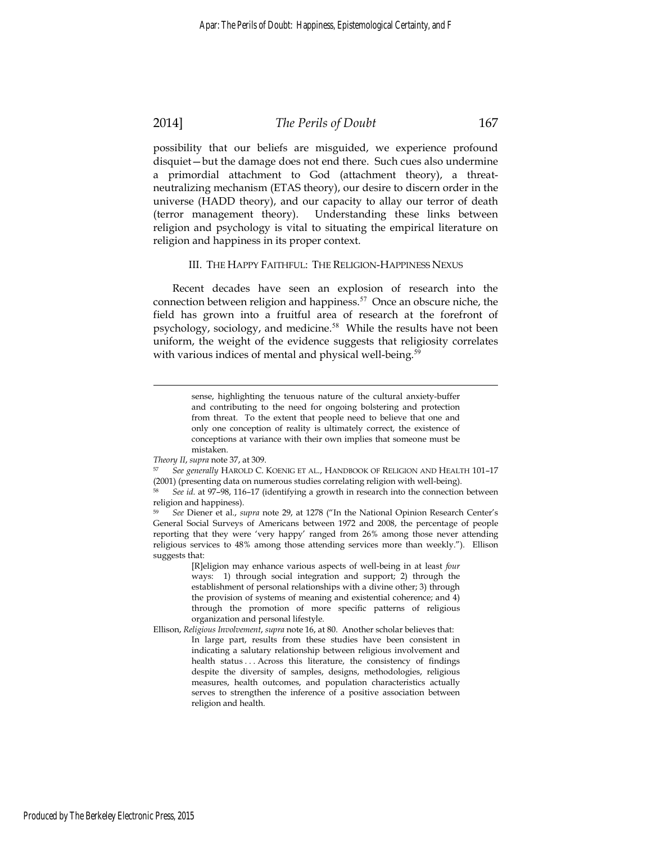# 2014] *The Perils of Doubt* 167

possibility that our beliefs are misguided, we experience profound disquiet—but the damage does not end there. Such cues also undermine a primordial attachment to God (attachment theory), a threatneutralizing mechanism (ETAS theory), our desire to discern order in the universe (HADD theory), and our capacity to allay our terror of death (terror management theory). Understanding these links between religion and psychology is vital to situating the empirical literature on religion and happiness in its proper context.

#### III. THE HAPPY FAITHFUL: THE RELIGION-HAPPINESS NEXUS

Recent decades have seen an explosion of research into the connection between religion and happiness.<sup>57</sup> Once an obscure niche, the field has grown into a fruitful area of research at the forefront of psychology, sociology, and medicine.<sup>58</sup> While the results have not been uniform, the weight of the evidence suggests that religiosity correlates with various indices of mental and physical well-being.<sup>59</sup>

<u>.</u>

sense, highlighting the tenuous nature of the cultural anxiety-buffer and contributing to the need for ongoing bolstering and protection from threat. To the extent that people need to believe that one and only one conception of reality is ultimately correct, the existence of conceptions at variance with their own implies that someone must be mistaken.

*Theory II, supra* note 37, at 309.<br><sup>57</sup> *See generally HAROLD C. KOENIG ET AL., HANDBOOK OF RELIGION AND HEALTH 101–17* (2001) (presenting data on numerous studies correlating religion with well-being).

See id. at 97-98, 116-17 (identifying a growth in research into the connection between religion and happiness).

<sup>59</sup> *See* Diener et al., *supra* note 29, at 1278 ("In the National Opinion Research Center's General Social Surveys of Americans between 1972 and 2008, the percentage of people reporting that they were 'very happy' ranged from 26% among those never attending religious services to 48% among those attending services more than weekly."). Ellison suggests that:

<sup>[</sup>R]eligion may enhance various aspects of well-being in at least *four* ways: 1) through social integration and support; 2) through the establishment of personal relationships with a divine other; 3) through the provision of systems of meaning and existential coherence; and 4) through the promotion of more specific patterns of religious organization and personal lifestyle.

Ellison, *Religious Involvement*, *supra* note 16, at 80. Another scholar believes that: In large part, results from these studies have been consistent in indicating a salutary relationship between religious involvement and health status . . . Across this literature, the consistency of findings despite the diversity of samples, designs, methodologies, religious measures, health outcomes, and population characteristics actually serves to strengthen the inference of a positive association between religion and health.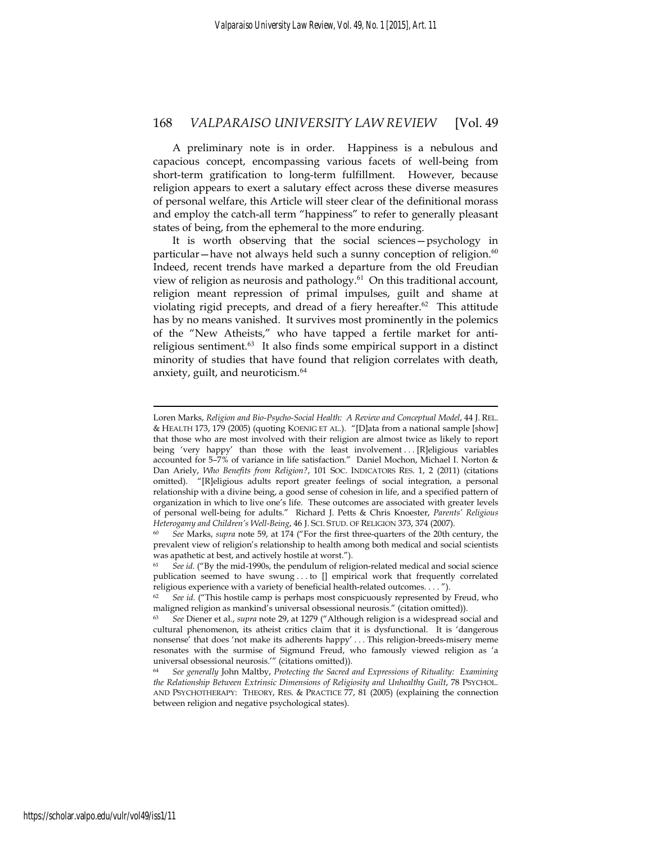A preliminary note is in order. Happiness is a nebulous and capacious concept, encompassing various facets of well-being from short-term gratification to long-term fulfillment. However, because religion appears to exert a salutary effect across these diverse measures of personal welfare, this Article will steer clear of the definitional morass and employ the catch-all term "happiness" to refer to generally pleasant states of being, from the ephemeral to the more enduring.

It is worth observing that the social sciences—psychology in particular—have not always held such a sunny conception of religion. $60$ Indeed, recent trends have marked a departure from the old Freudian view of religion as neurosis and pathology.<sup>61</sup> On this traditional account, religion meant repression of primal impulses, guilt and shame at violating rigid precepts, and dread of a fiery hereafter. $62$  This attitude has by no means vanished. It survives most prominently in the polemics of the "New Atheists," who have tapped a fertile market for antireligious sentiment.<sup>63</sup> It also finds some empirical support in a distinct minority of studies that have found that religion correlates with death, anxiety, guilt, and neuroticism.<sup>64</sup>

Loren Marks, *Religion and Bio-Psycho-Social Health: A Review and Conceptual Model*, 44 J. REL. & HEALTH 173, 179 (2005) (quoting KOENIG ET AL.). "[D]ata from a national sample [show] that those who are most involved with their religion are almost twice as likely to report being 'very happy' than those with the least involvement ... [R]eligious variables accounted for 5–7% of variance in life satisfaction." Daniel Mochon, Michael I. Norton & Dan Ariely, *Who Benefits from Religion?*, 101 SOC. INDICATORS RES. 1, 2 (2011) (citations omitted). "[R]eligious adults report greater feelings of social integration, a personal relationship with a divine being, a good sense of cohesion in life, and a specified pattern of organization in which to live one's life. These outcomes are associated with greater levels of personal well-being for adults." Richard J. Petts & Chris Knoester, *Parents' Religious Heterogamy and Children's Well-Being*, 46 J. SCI. STUD. OF RELIGION 373, 374 (2007).<br><sup>60</sup> *See Marks, supra note 59, at 174 ("For the first three-quarters of the 20th century, the* 

prevalent view of religion's relationship to health among both medical and social scientists was apathetic at best, and actively hostile at worst.").

<sup>61</sup> *See id.* ("By the mid-1990s, the pendulum of religion-related medical and social science publication seemed to have swung . . . to [] empirical work that frequently correlated religious experience with a variety of beneficial health-related outcomes. . . . ").

<sup>&</sup>lt;sup>62</sup> *See id.* ("This hostile camp is perhaps most conspicuously represented by Freud, who maligned religion as mankind's universal obsessional neurosis." (citation omitted)).

<sup>63</sup> *See* Diener et al., *supra* note 29, at 1279 ("Although religion is a widespread social and cultural phenomenon, its atheist critics claim that it is dysfunctional. It is 'dangerous nonsense' that does 'not make its adherents happy' . . . This religion-breeds-misery meme resonates with the surmise of Sigmund Freud, who famously viewed religion as 'a universal obsessional neurosis.'" (citations omitted)).

<sup>64</sup> *See generally* John Maltby, *Protecting the Sacred and Expressions of Rituality: Examining the Relationship Between Extrinsic Dimensions of Religiosity and Unhealthy Guilt, 78 PSYCHOL.* AND PSYCHOTHERAPY: THEORY, RES. & PRACTICE 77, 81 (2005) (explaining the connection between religion and negative psychological states).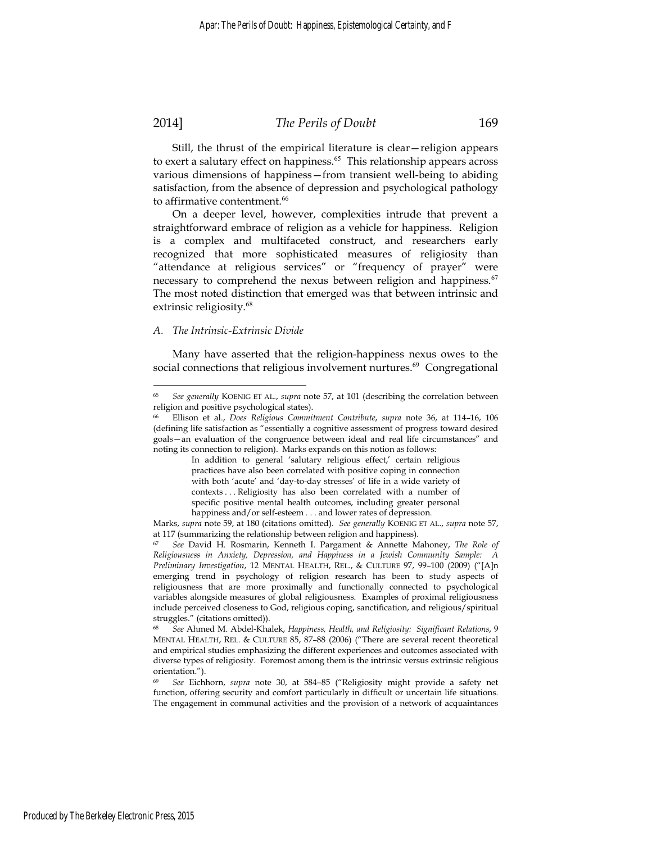### 2014] *The Perils of Doubt* 169

Still, the thrust of the empirical literature is clear—religion appears to exert a salutary effect on happiness.<sup>65</sup> This relationship appears across various dimensions of happiness—from transient well-being to abiding satisfaction, from the absence of depression and psychological pathology to affirmative contentment.<sup>66</sup>

On a deeper level, however, complexities intrude that prevent a straightforward embrace of religion as a vehicle for happiness. Religion is a complex and multifaceted construct, and researchers early recognized that more sophisticated measures of religiosity than "attendance at religious services" or "frequency of prayer" were necessary to comprehend the nexus between religion and happiness.<sup>67</sup> The most noted distinction that emerged was that between intrinsic and extrinsic religiosity.<sup>68</sup>

#### *A. The Intrinsic-Extrinsic Divide*

Many have asserted that the religion-happiness nexus owes to the social connections that religious involvement nurtures.<sup>69</sup> Congregational

<sup>65</sup> *See generally* KOENIG ET AL., *supra* note 57, at 101 (describing the correlation between religion and positive psychological states).

<sup>66</sup> Ellison et al., *Does Religious Commitment Contribute*, *supra* note 36, at 114–16, 106 (defining life satisfaction as "essentially a cognitive assessment of progress toward desired goals—an evaluation of the congruence between ideal and real life circumstances" and noting its connection to religion). Marks expands on this notion as follows:

In addition to general 'salutary religious effect,' certain religious practices have also been correlated with positive coping in connection with both 'acute' and 'day-to-day stresses' of life in a wide variety of contexts . . . Religiosity has also been correlated with a number of specific positive mental health outcomes, including greater personal happiness and/or self-esteem . . . and lower rates of depression.

Marks, *supra* note 59, at 180 (citations omitted). *See generally* KOENIG ET AL., *supra* note 57, at 117 (summarizing the relationship between religion and happiness).

<sup>67</sup> *See* David H. Rosmarin, Kenneth I. Pargament & Annette Mahoney, *The Role of Religiousness in Anxiety, Depression, and Happiness in a Jewish Community Sample: A Preliminary Investigation*, 12 MENTAL HEALTH, REL., & CULTURE 97, 99–100 (2009) ("[A]n emerging trend in psychology of religion research has been to study aspects of religiousness that are more proximally and functionally connected to psychological variables alongside measures of global religiousness. Examples of proximal religiousness include perceived closeness to God, religious coping, sanctification, and religious/spiritual struggles." (citations omitted)).

<sup>68</sup> *See* Ahmed M. Abdel-Khalek, *Happiness, Health, and Religiosity: Significant Relations*, 9 MENTAL HEALTH, REL. & CULTURE 85, 87–88 (2006) ("There are several recent theoretical and empirical studies emphasizing the different experiences and outcomes associated with diverse types of religiosity. Foremost among them is the intrinsic versus extrinsic religious orientation.").

<sup>69</sup> *See* Eichhorn, *supra* note 30, at 584−85 ("Religiosity might provide a safety net function, offering security and comfort particularly in difficult or uncertain life situations. The engagement in communal activities and the provision of a network of acquaintances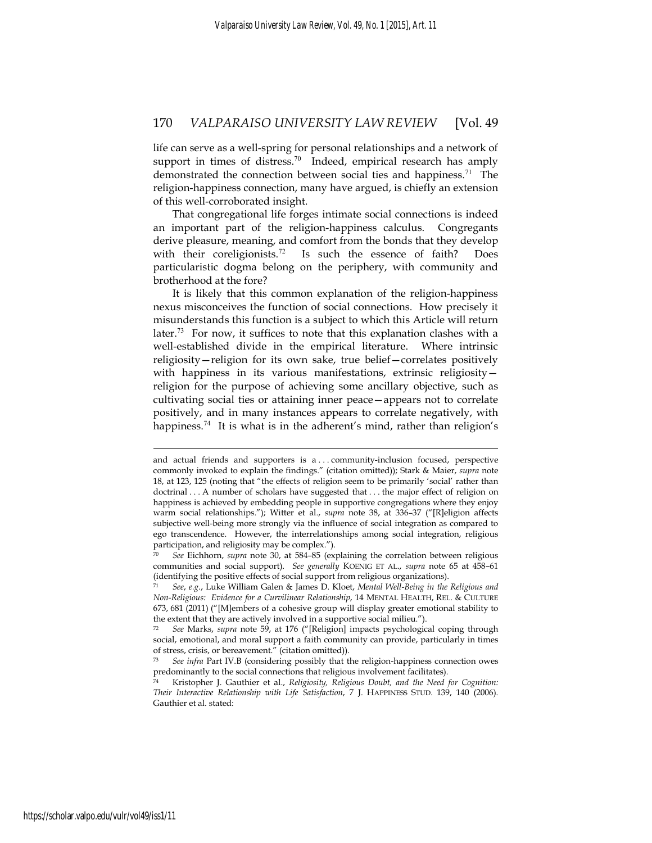life can serve as a well-spring for personal relationships and a network of support in times of distress.<sup>70</sup> Indeed, empirical research has amply demonstrated the connection between social ties and happiness.<sup>71</sup> The religion-happiness connection, many have argued, is chiefly an extension of this well-corroborated insight.

That congregational life forges intimate social connections is indeed an important part of the religion-happiness calculus. Congregants derive pleasure, meaning, and comfort from the bonds that they develop with their coreligionists.<sup>72</sup> Is such the essence of faith? Does particularistic dogma belong on the periphery, with community and brotherhood at the fore?

It is likely that this common explanation of the religion-happiness nexus misconceives the function of social connections. How precisely it misunderstands this function is a subject to which this Article will return later.<sup>73</sup> For now, it suffices to note that this explanation clashes with a well-established divide in the empirical literature. Where intrinsic religiosity—religion for its own sake, true belief—correlates positively with happiness in its various manifestations, extrinsic religiosity religion for the purpose of achieving some ancillary objective, such as cultivating social ties or attaining inner peace—appears not to correlate positively, and in many instances appears to correlate negatively, with happiness.<sup>74</sup> It is what is in the adherent's mind, rather than religion's

<u>.</u>

and actual friends and supporters is a . . . community-inclusion focused, perspective commonly invoked to explain the findings." (citation omitted)); Stark & Maier, *supra* note 18, at 123, 125 (noting that "the effects of religion seem to be primarily 'social' rather than doctrinal . . . A number of scholars have suggested that . . . the major effect of religion on happiness is achieved by embedding people in supportive congregations where they enjoy warm social relationships."); Witter et al., *supra* note 38, at 336–37 ("[R]eligion affects subjective well-being more strongly via the influence of social integration as compared to ego transcendence. However, the interrelationships among social integration, religious participation, and religiosity may be complex.").

<sup>70</sup> *See* Eichhorn, *supra* note 30, at 584–85 (explaining the correlation between religious communities and social support). *See generally* KOENIG ET AL., *supra* note 65 at 458–61 (identifying the positive effects of social support from religious organizations).

<sup>71</sup> *See*, *e.g.*, Luke William Galen & James D. Kloet, *Mental Well-Being in the Religious and Non-Religious: Evidence for a Curvilinear Relationship*, 14 MENTAL HEALTH, REL. & CULTURE 673, 681 (2011) ("[M]embers of a cohesive group will display greater emotional stability to the extent that they are actively involved in a supportive social milieu.").

<sup>72</sup> *See* Marks, *supra* note 59, at 176 ("[Religion] impacts psychological coping through social, emotional, and moral support a faith community can provide, particularly in times of stress, crisis, or bereavement." (citation omitted)).

<sup>73</sup> *See infra* Part IV.B (considering possibly that the religion-happiness connection owes predominantly to the social connections that religious involvement facilitates).

<sup>74</sup> Kristopher J. Gauthier et al., *Religiosity, Religious Doubt, and the Need for Cognition: Their Interactive Relationship with Life Satisfaction*, 7 J. HAPPINESS STUD. 139, 140 (2006). Gauthier et al. stated: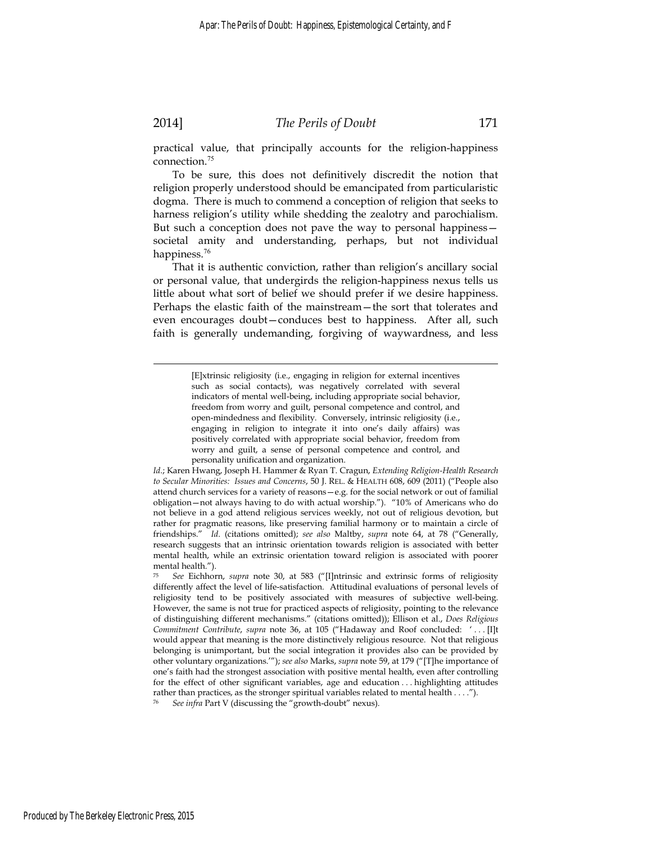### 2014] *The Perils of Doubt* 171

practical value, that principally accounts for the religion-happiness connection.<sup>75</sup>

To be sure, this does not definitively discredit the notion that religion properly understood should be emancipated from particularistic dogma. There is much to commend a conception of religion that seeks to harness religion's utility while shedding the zealotry and parochialism. But such a conception does not pave the way to personal happiness societal amity and understanding, perhaps, but not individual happiness.<sup>76</sup>

That it is authentic conviction, rather than religion's ancillary social or personal value, that undergirds the religion-happiness nexus tells us little about what sort of belief we should prefer if we desire happiness. Perhaps the elastic faith of the mainstream—the sort that tolerates and even encourages doubt—conduces best to happiness. After all, such faith is generally undemanding, forgiving of waywardness, and less

> [E]xtrinsic religiosity (i.e., engaging in religion for external incentives such as social contacts), was negatively correlated with several indicators of mental well-being, including appropriate social behavior, freedom from worry and guilt, personal competence and control, and open-mindedness and flexibility. Conversely, intrinsic religiosity (i.e., engaging in religion to integrate it into one's daily affairs) was positively correlated with appropriate social behavior, freedom from worry and guilt, a sense of personal competence and control, and personality unification and organization.

*Id*.; Karen Hwang, Joseph H. Hammer & Ryan T. Cragun, *Extending Religion-Health Research to Secular Minorities: Issues and Concerns*, 50 J. REL. & HEALTH 608, 609 (2011) ("People also attend church services for a variety of reasons—e.g. for the social network or out of familial obligation—not always having to do with actual worship."). "10% of Americans who do not believe in a god attend religious services weekly, not out of religious devotion, but rather for pragmatic reasons, like preserving familial harmony or to maintain a circle of friendships." *Id*. (citations omitted); *see also* Maltby, *supra* note 64, at 78 ("Generally, research suggests that an intrinsic orientation towards religion is associated with better mental health, while an extrinsic orientation toward religion is associated with poorer mental health.").

<sup>75</sup> *See* Eichhorn, *supra* note 30, at 583 ("[I]ntrinsic and extrinsic forms of religiosity differently affect the level of life-satisfaction. Attitudinal evaluations of personal levels of religiosity tend to be positively associated with measures of subjective well-being. However, the same is not true for practiced aspects of religiosity, pointing to the relevance of distinguishing different mechanisms." (citations omitted)); Ellison et al., *Does Religious Commitment Contribute*, *supra* note 36, at 105 ("Hadaway and Roof concluded: ' . . . [I]t would appear that meaning is the more distinctively religious resource. Not that religious belonging is unimportant, but the social integration it provides also can be provided by other voluntary organizations.'"); *see also* Marks, *supra* note 59, at 179 ("[T]he importance of one's faith had the strongest association with positive mental health, even after controlling for the effect of other significant variables, age and education . . . highlighting attitudes rather than practices, as the stronger spiritual variables related to mental health . . . .").

See infra Part V (discussing the "growth-doubt" nexus).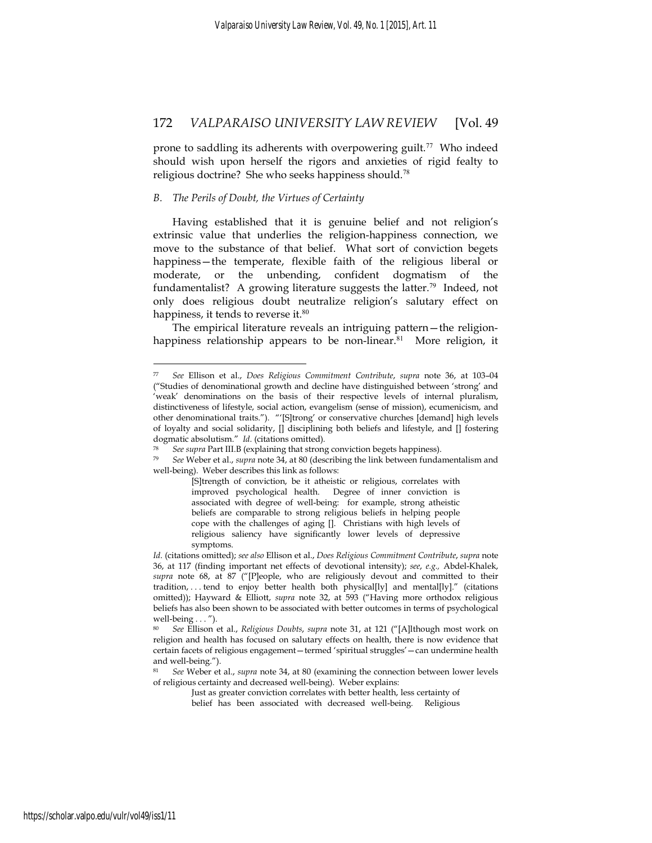prone to saddling its adherents with overpowering guilt.<sup>77</sup> Who indeed should wish upon herself the rigors and anxieties of rigid fealty to religious doctrine? She who seeks happiness should.<sup>78</sup>

#### *B. The Perils of Doubt, the Virtues of Certainty*

1

Having established that it is genuine belief and not religion's extrinsic value that underlies the religion-happiness connection, we move to the substance of that belief. What sort of conviction begets happiness—the temperate, flexible faith of the religious liberal or moderate, or the unbending, confident dogmatism of the fundamentalist? A growing literature suggests the latter.<sup>79</sup> Indeed, not only does religious doubt neutralize religion's salutary effect on happiness, it tends to reverse it.<sup>80</sup>

The empirical literature reveals an intriguing pattern—the religionhappiness relationship appears to be non-linear.<sup>81</sup> More religion, it

<sup>77</sup> *See* Ellison et al., *Does Religious Commitment Contribute*, *supra* note 36, at 103–04 ("Studies of denominational growth and decline have distinguished between 'strong' and 'weak' denominations on the basis of their respective levels of internal pluralism, distinctiveness of lifestyle, social action, evangelism (sense of mission), ecumenicism, and other denominational traits."). "'[S]trong' or conservative churches [demand] high levels of loyalty and social solidarity,  $[]$  disciplining both beliefs and lifestyle, and  $[]$  fostering dogmatic absolutism." *Id*. (citations omitted).

<sup>&</sup>lt;sup>78</sup> See supra Part III.B (explaining that strong conviction begets happiness).<br><sup>79</sup> See Weber et al., supra note 34, at 80 (describing the link between fundamentalism and well-being). Weber describes this link as follows:

<sup>[</sup>S]trength of conviction, be it atheistic or religious, correlates with improved psychological health. Degree of inner conviction is associated with degree of well-being: for example, strong atheistic beliefs are comparable to strong religious beliefs in helping people cope with the challenges of aging []. Christians with high levels of religious saliency have significantly lower levels of depressive symptoms.

*Id*. (citations omitted); *see also* Ellison et al., *Does Religious Commitment Contribute*, *supra* note 36, at 117 (finding important net effects of devotional intensity); *see*, *e.g.,* Abdel-Khalek, *supra* note 68, at 87 ("[P]eople, who are religiously devout and committed to their tradition, ... tend to enjoy better health both physical [ly] and mental [ly]." (citations omitted)); Hayward & Elliott, *supra* note 32, at 593 ("Having more orthodox religious beliefs has also been shown to be associated with better outcomes in terms of psychological well-being . . . ").

<sup>80</sup> *See* Ellison et al., *Religious Doubts*, *supra* note 31, at 121 ("[A]lthough most work on religion and health has focused on salutary effects on health, there is now evidence that certain facets of religious engagement—termed 'spiritual struggles'—can undermine health and well-being.").

<sup>81</sup> *See* Weber et al., *supra* note 34, at 80 (examining the connection between lower levels of religious certainty and decreased well-being). Weber explains:

Just as greater conviction correlates with better health, less certainty of

belief has been associated with decreased well-being. Religious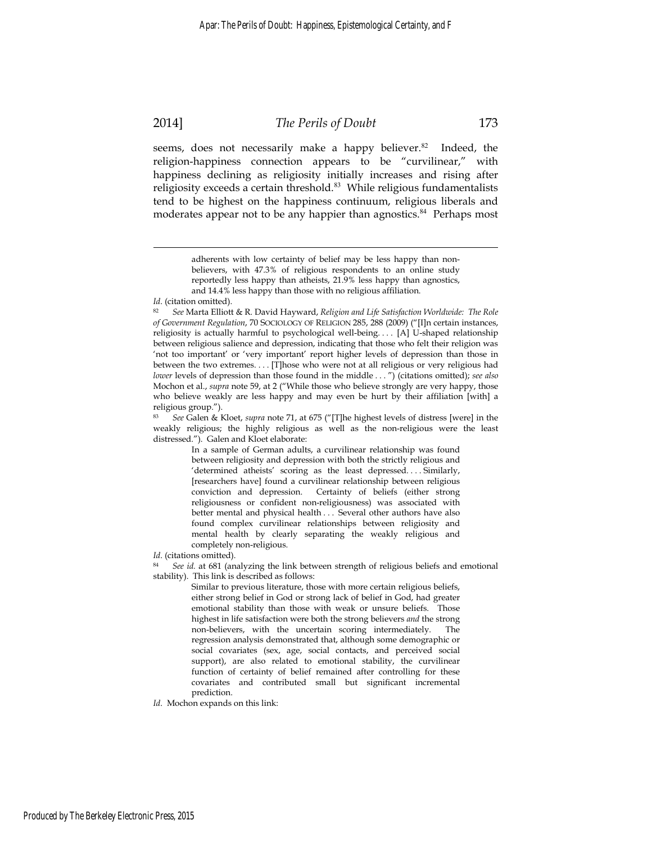# 2014] *The Perils of Doubt* 173

seems, does not necessarily make a happy believer.<sup>82</sup> Indeed, the religion-happiness connection appears to be "curvilinear," with happiness declining as religiosity initially increases and rising after religiosity exceeds a certain threshold.<sup>83</sup> While religious fundamentalists tend to be highest on the happiness continuum, religious liberals and moderates appear not to be any happier than agnostics.<sup>84</sup> Perhaps most

In a sample of German adults, a curvilinear relationship was found between religiosity and depression with both the strictly religious and 'determined atheists' scoring as the least depressed. . . . Similarly, [researchers have] found a curvilinear relationship between religious conviction and depression. Certainty of beliefs (either strong religiousness or confident non-religiousness) was associated with better mental and physical health . . . Several other authors have also found complex curvilinear relationships between religiosity and mental health by clearly separating the weakly religious and completely non-religious.

*Id*. (citations omitted).

<sup>84</sup> *See id.* at 681 (analyzing the link between strength of religious beliefs and emotional stability). This link is described as follows:

> Similar to previous literature, those with more certain religious beliefs, either strong belief in God or strong lack of belief in God, had greater emotional stability than those with weak or unsure beliefs. Those highest in life satisfaction were both the strong believers *and* the strong non-believers, with the uncertain scoring intermediately. The regression analysis demonstrated that, although some demographic or social covariates (sex, age, social contacts, and perceived social support), are also related to emotional stability, the curvilinear function of certainty of belief remained after controlling for these covariates and contributed small but significant incremental prediction.

*Id*. Mochon expands on this link:

adherents with low certainty of belief may be less happy than nonbelievers, with 47.3% of religious respondents to an online study reportedly less happy than atheists, 21.9% less happy than agnostics, and 14.4% less happy than those with no religious affiliation.

*Id*. (citation omitted).

<sup>82</sup> *See* Marta Elliott & R. David Hayward, *Religion and Life Satisfaction Worldwide: The Role of Government Regulation*, 70 SOCIOLOGY OF RELIGION 285, 288 (2009) ("[I]n certain instances, religiosity is actually harmful to psychological well-being. . . . [A] U-shaped relationship between religious salience and depression, indicating that those who felt their religion was 'not too important' or 'very important' report higher levels of depression than those in between the two extremes. . . . [T]hose who were not at all religious or very religious had *lower* levels of depression than those found in the middle . . . ") (citations omitted); *see also* Mochon et al., *supra* note 59, at 2 ("While those who believe strongly are very happy, those who believe weakly are less happy and may even be hurt by their affiliation [with] a religious group.").

<sup>83</sup> *See* Galen & Kloet, *supra* note 71, at 675 ("[T]he highest levels of distress [were] in the weakly religious; the highly religious as well as the non-religious were the least distressed."). Galen and Kloet elaborate: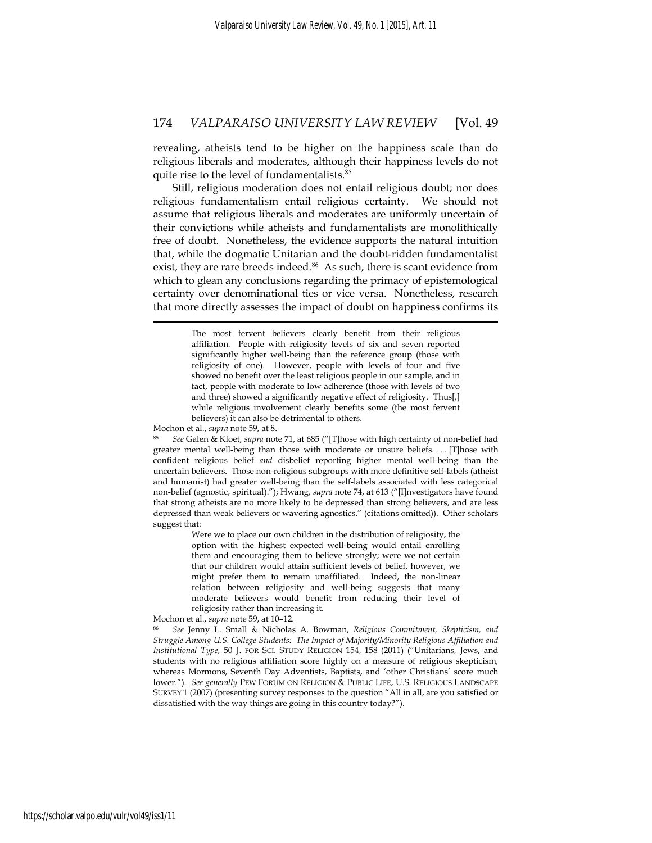revealing, atheists tend to be higher on the happiness scale than do religious liberals and moderates, although their happiness levels do not quite rise to the level of fundamentalists.<sup>85</sup>

Still, religious moderation does not entail religious doubt; nor does religious fundamentalism entail religious certainty. We should not assume that religious liberals and moderates are uniformly uncertain of their convictions while atheists and fundamentalists are monolithically free of doubt. Nonetheless, the evidence supports the natural intuition that, while the dogmatic Unitarian and the doubt-ridden fundamentalist exist, they are rare breeds indeed.<sup>86</sup> As such, there is scant evidence from which to glean any conclusions regarding the primacy of epistemological certainty over denominational ties or vice versa. Nonetheless, research that more directly assesses the impact of doubt on happiness confirms its

1

Mochon et al., *supra* note 59, at 8.<br><sup>85</sup> See Galen & Kloet, *supra* note 71, at 685 ("[T]hose with high certainty of non-belief had greater mental well-being than those with moderate or unsure beliefs. . . . [T]hose with confident religious belief *and* disbelief reporting higher mental well-being than the uncertain believers. Those non-religious subgroups with more definitive self-labels (atheist and humanist) had greater well-being than the self-labels associated with less categorical non-belief (agnostic, spiritual)."); Hwang, *supra* note 74, at 613 ("[I]nvestigators have found that strong atheists are no more likely to be depressed than strong believers, and are less depressed than weak believers or wavering agnostics." (citations omitted)). Other scholars suggest that:

> Were we to place our own children in the distribution of religiosity, the option with the highest expected well-being would entail enrolling them and encouraging them to believe strongly; were we not certain that our children would attain sufficient levels of belief, however, we might prefer them to remain unaffiliated. Indeed, the non-linear relation between religiosity and well-being suggests that many moderate believers would benefit from reducing their level of religiosity rather than increasing it.

Mochon et al., *supra* note 59, at 10–12.<br><sup>86</sup> *See* Jenny L. Small & Nicholas A. Bowman, *Religious Commitment, Skepticism, and Struggle Among U.S. College Students: The Impact of Majority/Minority Religious Affiliation and Institutional Type*, 50 J. FOR SCI. STUDY RELIGION 154, 158 (2011) ("Unitarians, Jews, and students with no religious affiliation score highly on a measure of religious skepticism, whereas Mormons, Seventh Day Adventists, Baptists, and 'other Christians' score much lower."). *See generally* PEW FORUM ON RELIGION & PUBLIC LIFE, U.S. RELIGIOUS LANDSCAPE SURVEY 1 (2007) (presenting survey responses to the question "All in all, are you satisfied or dissatisfied with the way things are going in this country today?").

The most fervent believers clearly benefit from their religious affiliation. People with religiosity levels of six and seven reported significantly higher well-being than the reference group (those with religiosity of one). However, people with levels of four and five showed no benefit over the least religious people in our sample, and in fact, people with moderate to low adherence (those with levels of two and three) showed a significantly negative effect of religiosity. Thus[,] while religious involvement clearly benefits some (the most fervent believers) it can also be detrimental to others.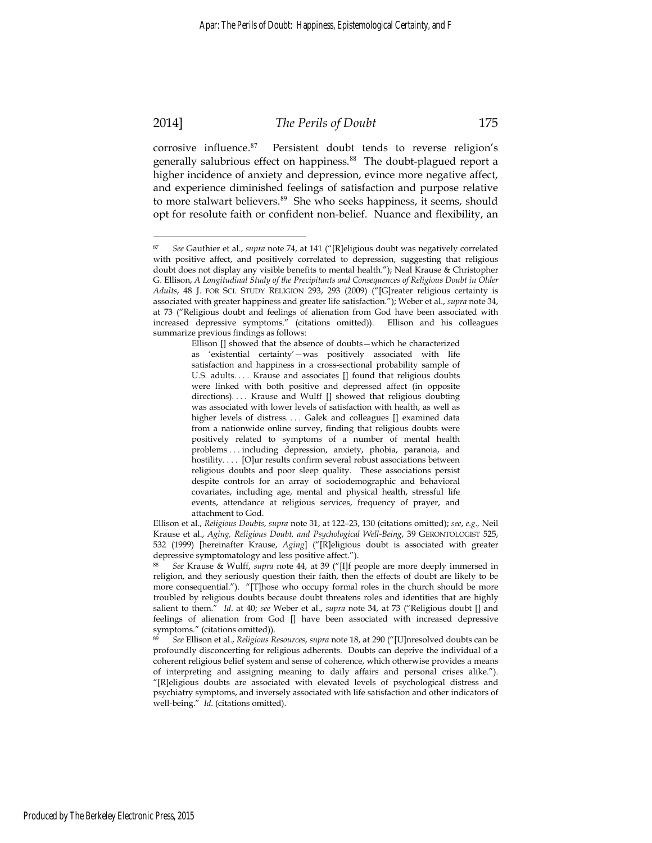### 2014] *The Perils of Doubt* 175

corrosive influence.<sup>87</sup> Persistent doubt tends to reverse religion's generally salubrious effect on happiness.<sup>88</sup> The doubt-plagued report a higher incidence of anxiety and depression, evince more negative affect, and experience diminished feelings of satisfaction and purpose relative to more stalwart believers.<sup>89</sup> She who seeks happiness, it seems, should opt for resolute faith or confident non-belief. Nuance and flexibility, an

<sup>87</sup> *See* Gauthier et al., *supra* note 74, at 141 ("[R]eligious doubt was negatively correlated with positive affect, and positively correlated to depression, suggesting that religious doubt does not display any visible benefits to mental health."); Neal Krause & Christopher G. Ellison, *A Longitudinal Study of the Precipitants and Consequences of Religious Doubt in Older Adults*, 48 J. FOR SCI. STUDY RELIGION 293, 293 (2009) ("[G]reater religious certainty is associated with greater happiness and greater life satisfaction."); Weber et al., *supra* note 34, at 73 ("Religious doubt and feelings of alienation from God have been associated with increased depressive symptoms." (citations omitted)). Ellison and his colleagues summarize previous findings as follows:

Ellison [] showed that the absence of doubts—which he characterized as 'existential certainty'—was positively associated with life satisfaction and happiness in a cross-sectional probability sample of U.S. adults. . . . Krause and associates [] found that religious doubts were linked with both positive and depressed affect (in opposite directions).... Krause and Wulff [] showed that religious doubting was associated with lower levels of satisfaction with health, as well as higher levels of distress.... Galek and colleagues [] examined data from a nationwide online survey, finding that religious doubts were positively related to symptoms of a number of mental health problems . . . including depression, anxiety, phobia, paranoia, and hostility.... [O]ur results confirm several robust associations between religious doubts and poor sleep quality. These associations persist despite controls for an array of sociodemographic and behavioral covariates, including age, mental and physical health, stressful life events, attendance at religious services, frequency of prayer, and attachment to God.

Ellison et al., *Religious Doubts*, *supra* note 31, at 122–23, 130 (citations omitted); *see*, *e.g.,* Neil Krause et al., *Aging, Religious Doubt, and Psychological Well-Being*, 39 GERONTOLOGIST 525, 532 (1999) [hereinafter Krause, *Aging*] ("[R]eligious doubt is associated with greater depressive symptomatology and less positive affect.").

<sup>88</sup> *See* Krause & Wulff, *supra* note 44, at 39 ("[I]f people are more deeply immersed in religion, and they seriously question their faith, then the effects of doubt are likely to be more consequential."). "[T]hose who occupy formal roles in the church should be more troubled by religious doubts because doubt threatens roles and identities that are highly salient to them." *Id*. at 40; *see* Weber et al., *supra* note 34, at 73 ("Religious doubt [] and feelings of alienation from God [] have been associated with increased depressive symptoms." (citations omitted)).

<sup>89</sup> *See* Ellison et al., *Religious Resources*, *supra* note 18, at 290 ("[U]nresolved doubts can be profoundly disconcerting for religious adherents. Doubts can deprive the individual of a coherent religious belief system and sense of coherence, which otherwise provides a means of interpreting and assigning meaning to daily affairs and personal crises alike."). "[R]eligious doubts are associated with elevated levels of psychological distress and psychiatry symptoms, and inversely associated with life satisfaction and other indicators of well-being." *Id*. (citations omitted).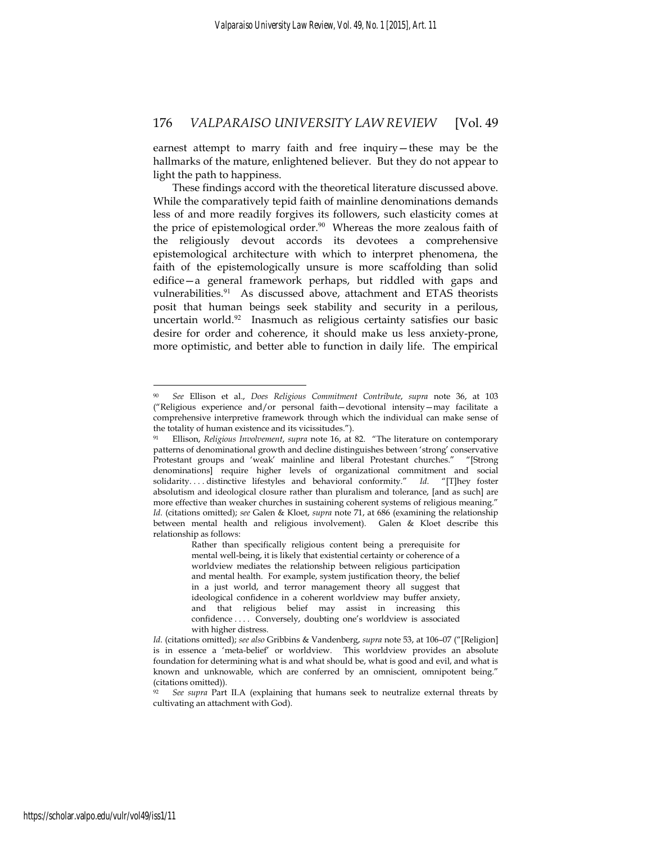earnest attempt to marry faith and free inquiry—these may be the hallmarks of the mature, enlightened believer. But they do not appear to light the path to happiness.

These findings accord with the theoretical literature discussed above. While the comparatively tepid faith of mainline denominations demands less of and more readily forgives its followers, such elasticity comes at the price of epistemological order.<sup>90</sup> Whereas the more zealous faith of the religiously devout accords its devotees a comprehensive epistemological architecture with which to interpret phenomena, the faith of the epistemologically unsure is more scaffolding than solid edifice—a general framework perhaps, but riddled with gaps and vulnerabilities.<sup>91</sup> As discussed above, attachment and ETAS theorists posit that human beings seek stability and security in a perilous, uncertain world.<sup>92</sup> Inasmuch as religious certainty satisfies our basic desire for order and coherence, it should make us less anxiety-prone, more optimistic, and better able to function in daily life. The empirical

<u>.</u>

<sup>90</sup> *See* Ellison et al., *Does Religious Commitment Contribute*, *supra* note 36, at 103 ("Religious experience and/or personal faith—devotional intensity—may facilitate a comprehensive interpretive framework through which the individual can make sense of the totality of human existence and its vicissitudes.").

<sup>91</sup> Ellison, *Religious Involvement*, *supra* note 16, at 82. "The literature on contemporary patterns of denominational growth and decline distinguishes between 'strong' conservative Protestant groups and 'weak' mainline and liberal Protestant churches." "[Strong denominations] require higher levels of organizational commitment and social solidarity. . . . distinctive lifestyles and behavioral conformity." *Id*. "[T]hey foster absolutism and ideological closure rather than pluralism and tolerance, [and as such] are more effective than weaker churches in sustaining coherent systems of religious meaning." *Id*. (citations omitted); *see* Galen & Kloet, *supra* note 71, at 686 (examining the relationship between mental health and religious involvement). Galen & Kloet describe this relationship as follows:

Rather than specifically religious content being a prerequisite for mental well-being, it is likely that existential certainty or coherence of a worldview mediates the relationship between religious participation and mental health. For example, system justification theory, the belief in a just world, and terror management theory all suggest that ideological confidence in a coherent worldview may buffer anxiety, and that religious belief may assist in increasing this confidence . . . . Conversely, doubting one's worldview is associated with higher distress.

*Id*. (citations omitted); *see also* Gribbins & Vandenberg, *supra* note 53, at 106–07 ("[Religion] is in essence a 'meta-belief' or worldview. This worldview provides an absolute foundation for determining what is and what should be, what is good and evil, and what is known and unknowable, which are conferred by an omniscient, omnipotent being." (citations omitted)).

<sup>92</sup> *See supra* Part II.A (explaining that humans seek to neutralize external threats by cultivating an attachment with God).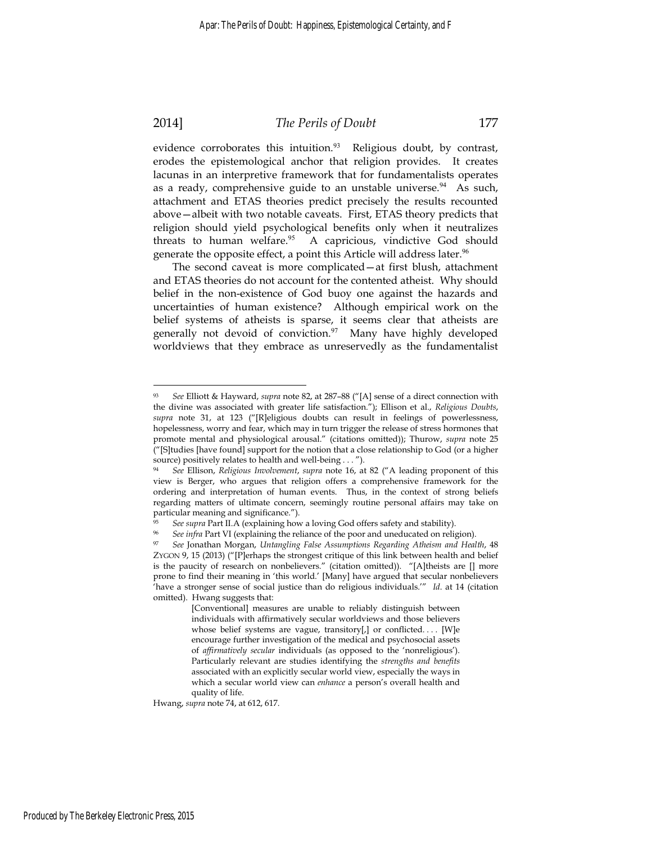<u>.</u>

#### 2014] *The Perils of Doubt* 177

evidence corroborates this intuition.<sup>93</sup> Religious doubt, by contrast, erodes the epistemological anchor that religion provides. It creates lacunas in an interpretive framework that for fundamentalists operates as a ready, comprehensive guide to an unstable universe. $94$  As such, attachment and ETAS theories predict precisely the results recounted above—albeit with two notable caveats. First, ETAS theory predicts that religion should yield psychological benefits only when it neutralizes threats to human welfare.<sup>95</sup> A capricious, vindictive God should generate the opposite effect, a point this Article will address later.<sup>96</sup>

The second caveat is more complicated—at first blush, attachment and ETAS theories do not account for the contented atheist. Why should belief in the non-existence of God buoy one against the hazards and uncertainties of human existence? Although empirical work on the belief systems of atheists is sparse, it seems clear that atheists are generally not devoid of conviction.<sup>97</sup> Many have highly developed worldviews that they embrace as unreservedly as the fundamentalist

Hwang, *supra* note 74, at 612, 617.

<sup>93</sup> *See* Elliott & Hayward, *supra* note 82, at 287–88 ("[A] sense of a direct connection with the divine was associated with greater life satisfaction."); Ellison et al., *Religious Doubts*, *supra* note 31, at 123 ("[R]eligious doubts can result in feelings of powerlessness, hopelessness, worry and fear, which may in turn trigger the release of stress hormones that promote mental and physiological arousal." (citations omitted)); Thurow, *supra* note 25 ("[S]tudies [have found] support for the notion that a close relationship to God (or a higher source) positively relates to health and well-being . . . ").

<sup>94</sup> *See* Ellison, *Religious Involvement*, *supra* note 16, at 82 ("A leading proponent of this view is Berger, who argues that religion offers a comprehensive framework for the ordering and interpretation of human events. Thus, in the context of strong beliefs regarding matters of ultimate concern, seemingly routine personal affairs may take on particular meaning and significance.").

*See supra* Part II.A (explaining how a loving God offers safety and stability).<br>*See infra* Part VI (explaining the reliance of the poor and uneducated on religion).

<sup>97</sup> *See* Jonathan Morgan, *Untangling False Assumptions Regarding Atheism and Health*, 48 ZYGON 9, 15 (2013) ("[P]erhaps the strongest critique of this link between health and belief is the paucity of research on nonbelievers." (citation omitted)). "[A]theists are [] more prone to find their meaning in 'this world.' [Many] have argued that secular nonbelievers 'have a stronger sense of social justice than do religious individuals.'" *Id*. at 14 (citation omitted). Hwang suggests that:

<sup>[</sup>Conventional] measures are unable to reliably distinguish between individuals with affirmatively secular worldviews and those believers whose belief systems are vague, transitory[,] or conflicted.... [W]e encourage further investigation of the medical and psychosocial assets of *affirmatively secular* individuals (as opposed to the 'nonreligious'). Particularly relevant are studies identifying the *strengths and benefits* associated with an explicitly secular world view, especially the ways in which a secular world view can *enhance* a person's overall health and quality of life.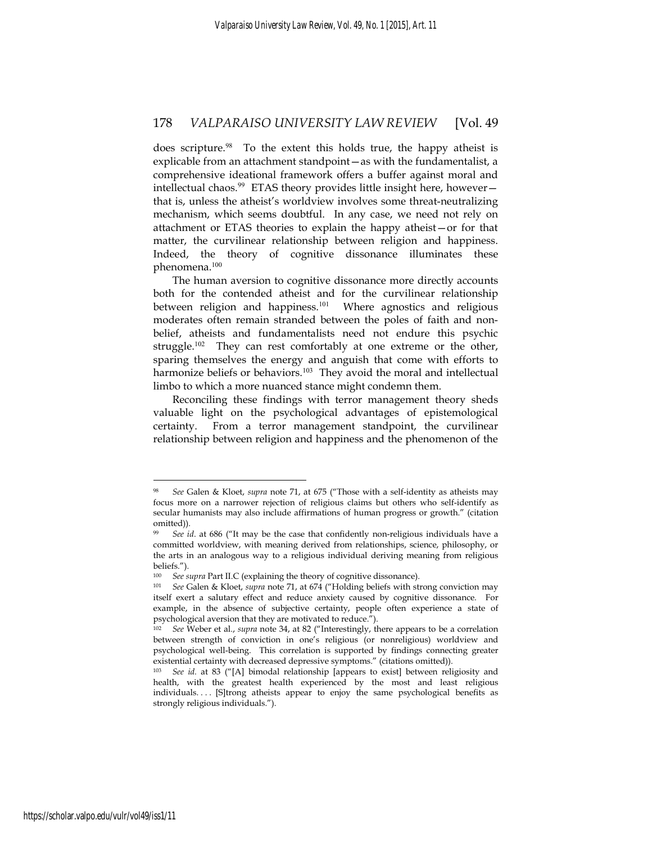does scripture.<sup>98</sup> To the extent this holds true, the happy atheist is explicable from an attachment standpoint—as with the fundamentalist, a comprehensive ideational framework offers a buffer against moral and intellectual chaos.<sup>99</sup> ETAS theory provides little insight here, however that is, unless the atheist's worldview involves some threat-neutralizing mechanism, which seems doubtful. In any case, we need not rely on attachment or ETAS theories to explain the happy atheist—or for that matter, the curvilinear relationship between religion and happiness. Indeed, the theory of cognitive dissonance illuminates these phenomena.<sup>100</sup>

The human aversion to cognitive dissonance more directly accounts both for the contended atheist and for the curvilinear relationship between religion and happiness.<sup>101</sup> Where agnostics and religious moderates often remain stranded between the poles of faith and nonbelief, atheists and fundamentalists need not endure this psychic struggle.<sup>102</sup> They can rest comfortably at one extreme or the other, sparing themselves the energy and anguish that come with efforts to harmonize beliefs or behaviors.<sup>103</sup> They avoid the moral and intellectual limbo to which a more nuanced stance might condemn them.

Reconciling these findings with terror management theory sheds valuable light on the psychological advantages of epistemological certainty. From a terror management standpoint, the curvilinear relationship between religion and happiness and the phenomenon of the

<sup>98</sup> *See* Galen & Kloet, *supra* note 71, at 675 ("Those with a self-identity as atheists may focus more on a narrower rejection of religious claims but others who self-identify as secular humanists may also include affirmations of human progress or growth." (citation omitted)).

<sup>99</sup> *See id*. at 686 ("It may be the case that confidently non-religious individuals have a committed worldview, with meaning derived from relationships, science, philosophy, or the arts in an analogous way to a religious individual deriving meaning from religious beliefs.").

<sup>100</sup> *See supra* Part II.C (explaining the theory of cognitive dissonance). 101 *See* Galen & Kloet, *supra* note 71, at 674 ("Holding beliefs with strong conviction may itself exert a salutary effect and reduce anxiety caused by cognitive dissonance. For example, in the absence of subjective certainty, people often experience a state of psychological aversion that they are motivated to reduce.").

<sup>102</sup> *See* Weber et al., *supra* note 34, at 82 ("Interestingly, there appears to be a correlation between strength of conviction in one's religious (or nonreligious) worldview and psychological well-being. This correlation is supported by findings connecting greater existential certainty with decreased depressive symptoms." (citations omitted)).

See id. at 83 ("[A] bimodal relationship [appears to exist] between religiosity and health, with the greatest health experienced by the most and least religious individuals.... [S]trong atheists appear to enjoy the same psychological benefits as strongly religious individuals.").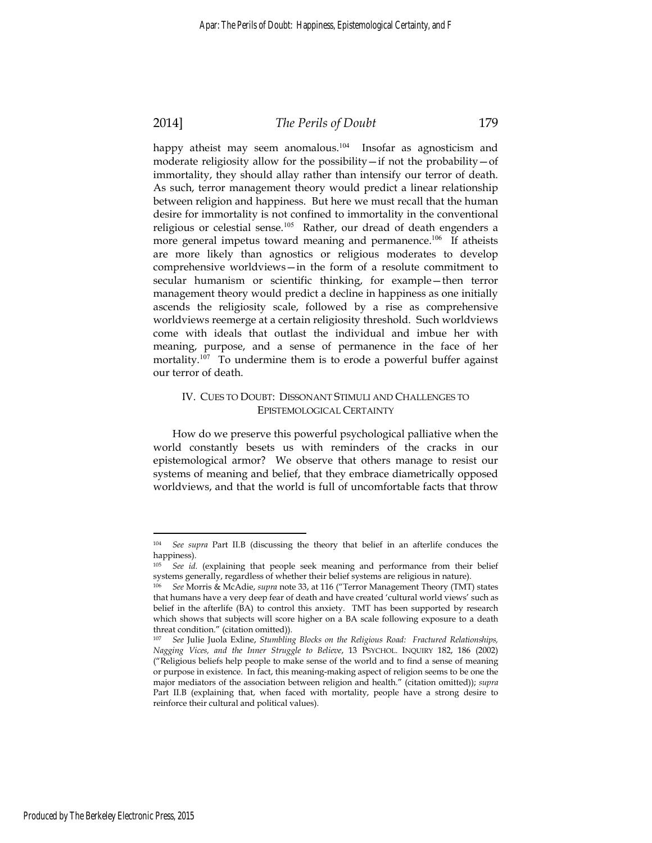# 2014] *The Perils of Doubt* 179

happy atheist may seem anomalous.<sup>104</sup> Insofar as agnosticism and moderate religiosity allow for the possibility—if not the probability—of immortality, they should allay rather than intensify our terror of death. As such, terror management theory would predict a linear relationship between religion and happiness. But here we must recall that the human desire for immortality is not confined to immortality in the conventional religious or celestial sense.<sup>105</sup> Rather, our dread of death engenders a more general impetus toward meaning and permanence.<sup>106</sup> If atheists are more likely than agnostics or religious moderates to develop comprehensive worldviews—in the form of a resolute commitment to secular humanism or scientific thinking, for example—then terror management theory would predict a decline in happiness as one initially ascends the religiosity scale, followed by a rise as comprehensive worldviews reemerge at a certain religiosity threshold. Such worldviews come with ideals that outlast the individual and imbue her with meaning, purpose, and a sense of permanence in the face of her mortality.<sup>107</sup> To undermine them is to erode a powerful buffer against our terror of death.

#### IV. CUES TO DOUBT: DISSONANT STIMULI AND CHALLENGES TO EPISTEMOLOGICAL CERTAINTY

How do we preserve this powerful psychological palliative when the world constantly besets us with reminders of the cracks in our epistemological armor? We observe that others manage to resist our systems of meaning and belief, that they embrace diametrically opposed worldviews, and that the world is full of uncomfortable facts that throw

<sup>104</sup> *See supra* Part II.B (discussing the theory that belief in an afterlife conduces the happiness).

<sup>105</sup> *See id.* (explaining that people seek meaning and performance from their belief systems generally, regardless of whether their belief systems are religious in nature). 106 *See* Morris & McAdie, *supra* note 33, at 116 ("Terror Management Theory (TMT) states

that humans have a very deep fear of death and have created 'cultural world views' such as belief in the afterlife (BA) to control this anxiety. TMT has been supported by research which shows that subjects will score higher on a BA scale following exposure to a death threat condition." (citation omitted)).

<sup>107</sup> *See* Julie Juola Exline, *Stumbling Blocks on the Religious Road: Fractured Relationships, Nagging Vices, and the Inner Struggle to Believe*, 13 PSYCHOL. INQUIRY 182, 186 (2002) ("Religious beliefs help people to make sense of the world and to find a sense of meaning or purpose in existence. In fact, this meaning-making aspect of religion seems to be one the major mediators of the association between religion and health." (citation omitted)); *supra* Part II.B (explaining that, when faced with mortality, people have a strong desire to reinforce their cultural and political values).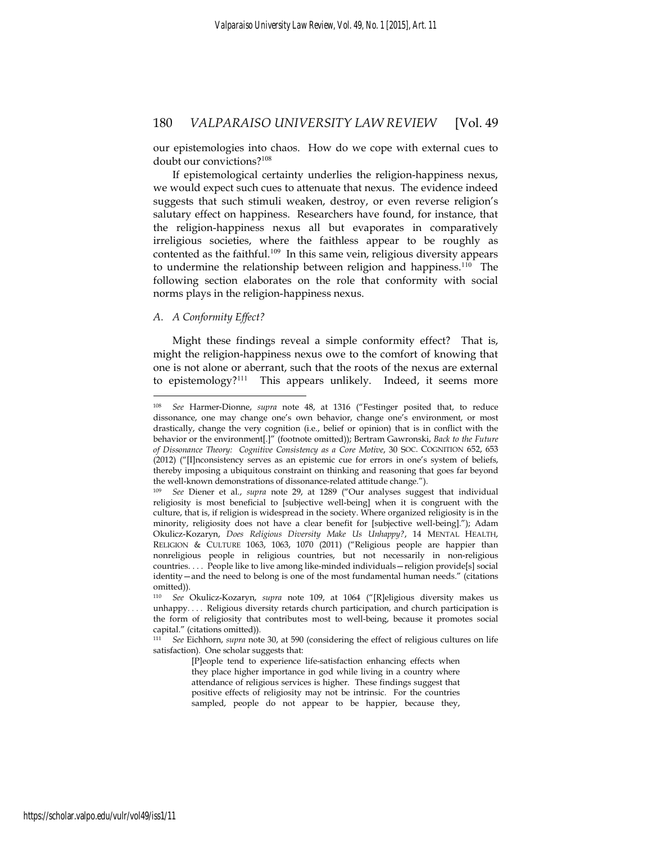our epistemologies into chaos. How do we cope with external cues to doubt our convictions?<sup>108</sup>

If epistemological certainty underlies the religion-happiness nexus, we would expect such cues to attenuate that nexus. The evidence indeed suggests that such stimuli weaken, destroy, or even reverse religion's salutary effect on happiness. Researchers have found, for instance, that the religion-happiness nexus all but evaporates in comparatively irreligious societies, where the faithless appear to be roughly as contented as the faithful.<sup>109</sup> In this same vein, religious diversity appears to undermine the relationship between religion and happiness.<sup>110</sup> The following section elaborates on the role that conformity with social norms plays in the religion-happiness nexus.

#### *A. A Conformity Effect?*

1

Might these findings reveal a simple conformity effect? That is, might the religion-happiness nexus owe to the comfort of knowing that one is not alone or aberrant, such that the roots of the nexus are external to epistemology?<sup>111</sup> This appears unlikely. Indeed, it seems more

<sup>108</sup> *See* Harmer-Dionne, *supra* note 48, at 1316 ("Festinger posited that, to reduce dissonance, one may change one's own behavior, change one's environment, or most drastically, change the very cognition (i.e., belief or opinion) that is in conflict with the behavior or the environment[.]" (footnote omitted)); Bertram Gawronski, *Back to the Future of Dissonance Theory: Cognitive Consistency as a Core Motive*, 30 SOC. COGNITION 652, 653 (2012) ("[I]nconsistency serves as an epistemic cue for errors in one's system of beliefs, thereby imposing a ubiquitous constraint on thinking and reasoning that goes far beyond the well-known demonstrations of dissonance-related attitude change.").

<sup>109</sup> *See* Diener et al., *supra* note 29, at 1289 ("Our analyses suggest that individual religiosity is most beneficial to [subjective well-being] when it is congruent with the culture, that is, if religion is widespread in the society. Where organized religiosity is in the minority, religiosity does not have a clear benefit for [subjective well-being]."); Adam Okulicz-Kozaryn, *Does Religious Diversity Make Us Unhappy?*, 14 MENTAL HEALTH, RELIGION & CULTURE 1063, 1063, 1070 (2011) ("Religious people are happier than nonreligious people in religious countries, but not necessarily in non-religious countries. . . . People like to live among like-minded individuals—religion provide[s] social identity—and the need to belong is one of the most fundamental human needs." (citations omitted)).

<sup>110</sup> *See* Okulicz-Kozaryn, *supra* note 109, at 1064 ("[R]eligious diversity makes us unhappy. . . . Religious diversity retards church participation, and church participation is the form of religiosity that contributes most to well-being, because it promotes social capital." (citations omitted)).

<sup>111</sup> *See* Eichhorn, *supra* note 30, at 590 (considering the effect of religious cultures on life satisfaction). One scholar suggests that:

<sup>[</sup>P]eople tend to experience life-satisfaction enhancing effects when they place higher importance in god while living in a country where attendance of religious services is higher. These findings suggest that positive effects of religiosity may not be intrinsic. For the countries sampled, people do not appear to be happier, because they,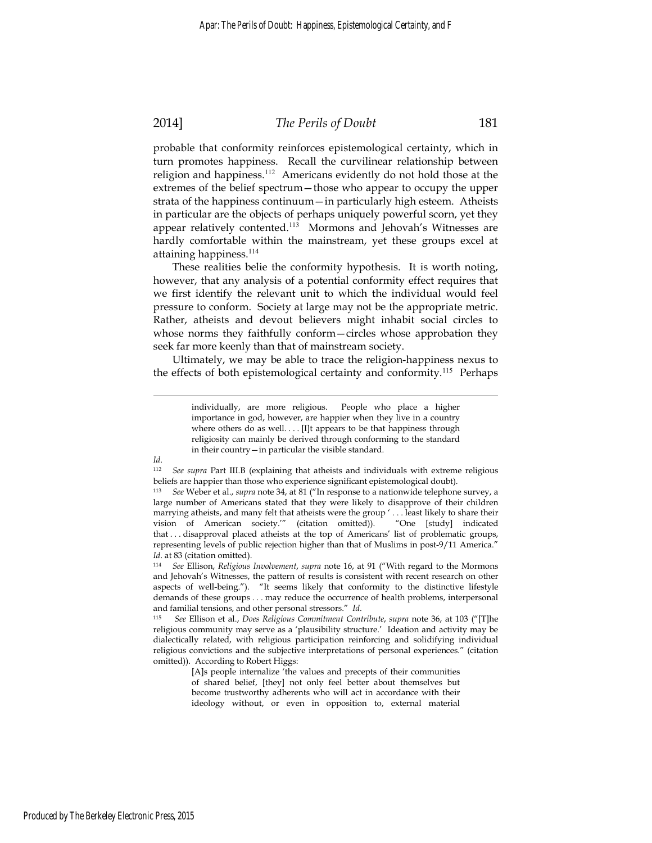# 2014] *The Perils of Doubt* 181

probable that conformity reinforces epistemological certainty, which in turn promotes happiness. Recall the curvilinear relationship between religion and happiness.<sup>112</sup> Americans evidently do not hold those at the extremes of the belief spectrum—those who appear to occupy the upper strata of the happiness continuum—in particularly high esteem. Atheists in particular are the objects of perhaps uniquely powerful scorn, yet they appear relatively contented.<sup>113</sup> Mormons and Jehovah's Witnesses are hardly comfortable within the mainstream, yet these groups excel at attaining happiness.<sup>114</sup>

These realities belie the conformity hypothesis. It is worth noting, however, that any analysis of a potential conformity effect requires that we first identify the relevant unit to which the individual would feel pressure to conform. Society at large may not be the appropriate metric. Rather, atheists and devout believers might inhabit social circles to whose norms they faithfully conform—circles whose approbation they seek far more keenly than that of mainstream society.

Ultimately, we may be able to trace the religion-happiness nexus to the effects of both epistemological certainty and conformity.<sup>115</sup> Perhaps

individually, are more religious. People who place a higher importance in god, however, are happier when they live in a country where others do as well.... [I]t appears to be that happiness through religiosity can mainly be derived through conforming to the standard in their country—in particular the visible standard.

*Id*.

<sup>112</sup> *See supra* Part III.B (explaining that atheists and individuals with extreme religious beliefs are happier than those who experience significant epistemological doubt).

<sup>113</sup> *See* Weber et al., *supra* note 34, at 81 ("In response to a nationwide telephone survey, a large number of Americans stated that they were likely to disapprove of their children marrying atheists, and many felt that atheists were the group ' . . . least likely to share their vision of American society.'" (citation omitted)). "One [study] indicated that . . . disapproval placed atheists at the top of Americans' list of problematic groups, representing levels of public rejection higher than that of Muslims in post-9/11 America." *Id*. at 83 (citation omitted).

<sup>114</sup> *See* Ellison, *Religious Involvement*, *supra* note 16, at 91 ("With regard to the Mormons and Jehovah's Witnesses, the pattern of results is consistent with recent research on other aspects of well-being."). "It seems likely that conformity to the distinctive lifestyle demands of these groups . . . may reduce the occurrence of health problems, interpersonal

and familial tensions, and other personal stressors." *Id*. 115 *See* Ellison et al., *Does Religious Commitment Contribute*, *supra* note 36, at 103 ("[T]he religious community may serve as a 'plausibility structure.' Ideation and activity may be dialectically related, with religious participation reinforcing and solidifying individual religious convictions and the subjective interpretations of personal experiences." (citation omitted)). According to Robert Higgs:

<sup>[</sup>A]s people internalize 'the values and precepts of their communities of shared belief, [they] not only feel better about themselves but become trustworthy adherents who will act in accordance with their ideology without, or even in opposition to, external material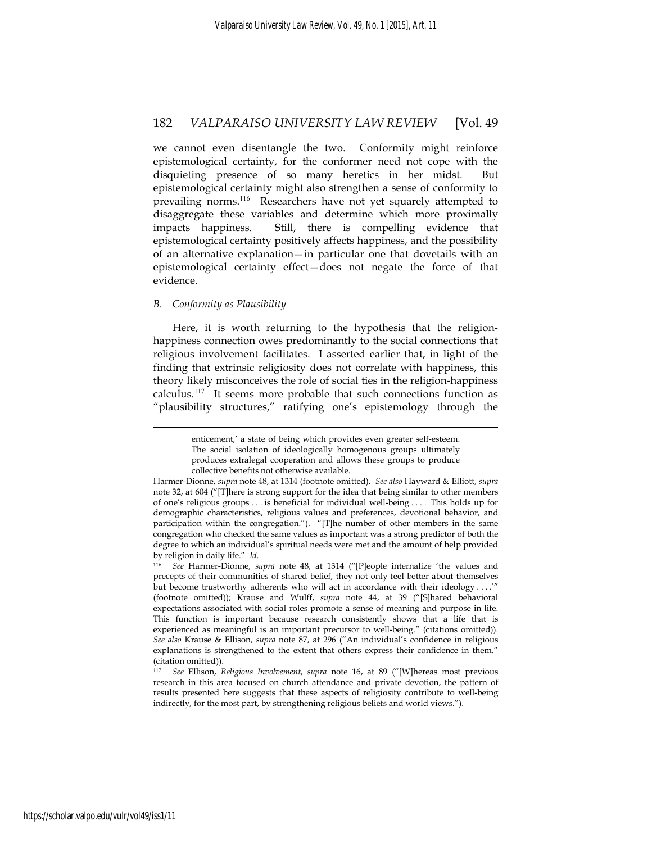we cannot even disentangle the two. Conformity might reinforce epistemological certainty, for the conformer need not cope with the disquieting presence of so many heretics in her midst. But epistemological certainty might also strengthen a sense of conformity to prevailing norms.<sup>116</sup> Researchers have not yet squarely attempted to disaggregate these variables and determine which more proximally impacts happiness. Still, there is compelling evidence that epistemological certainty positively affects happiness, and the possibility of an alternative explanation—in particular one that dovetails with an epistemological certainty effect—does not negate the force of that evidence.

#### *B. Conformity as Plausibility*

1

Here, it is worth returning to the hypothesis that the religionhappiness connection owes predominantly to the social connections that religious involvement facilitates. I asserted earlier that, in light of the finding that extrinsic religiosity does not correlate with happiness, this theory likely misconceives the role of social ties in the religion-happiness calculus.<sup>117</sup> It seems more probable that such connections function as "plausibility structures," ratifying one's epistemology through the

enticement,' a state of being which provides even greater self-esteem. The social isolation of ideologically homogenous groups ultimately produces extralegal cooperation and allows these groups to produce collective benefits not otherwise available.

Harmer-Dionne, *supra* note 48, at 1314 (footnote omitted). *See also* Hayward & Elliott, *supra*  note 32, at 604 ("[T]here is strong support for the idea that being similar to other members of one's religious groups . . . is beneficial for individual well-being . . . . This holds up for demographic characteristics, religious values and preferences, devotional behavior, and participation within the congregation."). "[T]he number of other members in the same congregation who checked the same values as important was a strong predictor of both the degree to which an individual's spiritual needs were met and the amount of help provided by religion in daily life." *Id*. 116 *See* Harmer-Dionne, *supra* note 48, at 1314 ("[P]eople internalize 'the values and

precepts of their communities of shared belief, they not only feel better about themselves but become trustworthy adherents who will act in accordance with their ideology . . . .'" (footnote omitted)); Krause and Wulff, *supra* note 44, at 39 ("[S]hared behavioral expectations associated with social roles promote a sense of meaning and purpose in life. This function is important because research consistently shows that a life that is experienced as meaningful is an important precursor to well-being." (citations omitted)). *See also* Krause & Ellison, *supra* note 87, at 296 ("An individual's confidence in religious explanations is strengthened to the extent that others express their confidence in them." (citation omitted)).

<sup>117</sup> *See* Ellison, *Religious Involvement*, *supra* note 16, at 89 ("[W]hereas most previous research in this area focused on church attendance and private devotion, the pattern of results presented here suggests that these aspects of religiosity contribute to well-being indirectly, for the most part, by strengthening religious beliefs and world views.").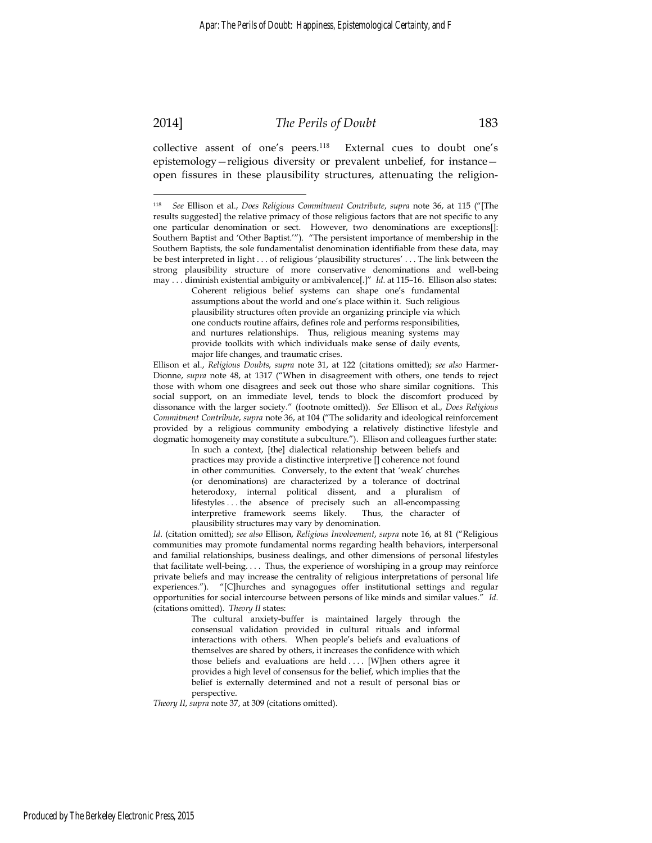2014] *The Perils of Doubt* 183

collective assent of one's peers.<sup>118</sup> External cues to doubt one's epistemology—religious diversity or prevalent unbelief, for instance open fissures in these plausibility structures, attenuating the religion-

Coherent religious belief systems can shape one's fundamental assumptions about the world and one's place within it. Such religious plausibility structures often provide an organizing principle via which one conducts routine affairs, defines role and performs responsibilities, and nurtures relationships. Thus, religious meaning systems may provide toolkits with which individuals make sense of daily events, major life changes, and traumatic crises.

Ellison et al., *Religious Doubts*, *supra* note 31, at 122 (citations omitted); *see also* Harmer-Dionne, *supra* note 48, at 1317 ("When in disagreement with others, one tends to reject those with whom one disagrees and seek out those who share similar cognitions. This social support, on an immediate level, tends to block the discomfort produced by dissonance with the larger society." (footnote omitted)). *See* Ellison et al., *Does Religious Commitment Contribute*, *supra* note 36, at 104 ("The solidarity and ideological reinforcement provided by a religious community embodying a relatively distinctive lifestyle and dogmatic homogeneity may constitute a subculture."). Ellison and colleagues further state:

In such a context, [the] dialectical relationship between beliefs and practices may provide a distinctive interpretive [] coherence not found in other communities. Conversely, to the extent that 'weak' churches (or denominations) are characterized by a tolerance of doctrinal heterodoxy, internal political dissent, and a pluralism of lifestyles . . . the absence of precisely such an all-encompassing interpretive framework seems likely. Thus, the character of plausibility structures may vary by denomination.

*Id*. (citation omitted); *see also* Ellison, *Religious Involvement*, *supra* note 16, at 81 ("Religious communities may promote fundamental norms regarding health behaviors, interpersonal and familial relationships, business dealings, and other dimensions of personal lifestyles that facilitate well-being. . . . Thus, the experience of worshiping in a group may reinforce private beliefs and may increase the centrality of religious interpretations of personal life experiences."). "[C]hurches and synagogues offer institutional settings and regular opportunities for social intercourse between persons of like minds and similar values." *Id*. (citations omitted). *Theory II* states:

The cultural anxiety-buffer is maintained largely through the consensual validation provided in cultural rituals and informal interactions with others. When people's beliefs and evaluations of themselves are shared by others, it increases the confidence with which those beliefs and evaluations are held .... [W]hen others agree it provides a high level of consensus for the belief, which implies that the belief is externally determined and not a result of personal bias or perspective.

*Theory II*, *supra* note 37, at 309 (citations omitted).

<sup>118</sup> *See* Ellison et al., *Does Religious Commitment Contribute*, *supra* note 36, at 115 ("[The results suggested] the relative primacy of those religious factors that are not specific to any one particular denomination or sect. However, two denominations are exceptions[]: Southern Baptist and 'Other Baptist.'"). "The persistent importance of membership in the Southern Baptists, the sole fundamentalist denomination identifiable from these data, may be best interpreted in light . . . of religious 'plausibility structures' . . . The link between the strong plausibility structure of more conservative denominations and well-being may . . . diminish existential ambiguity or ambivalence[.]" *Id*. at 115–16. Ellison also states: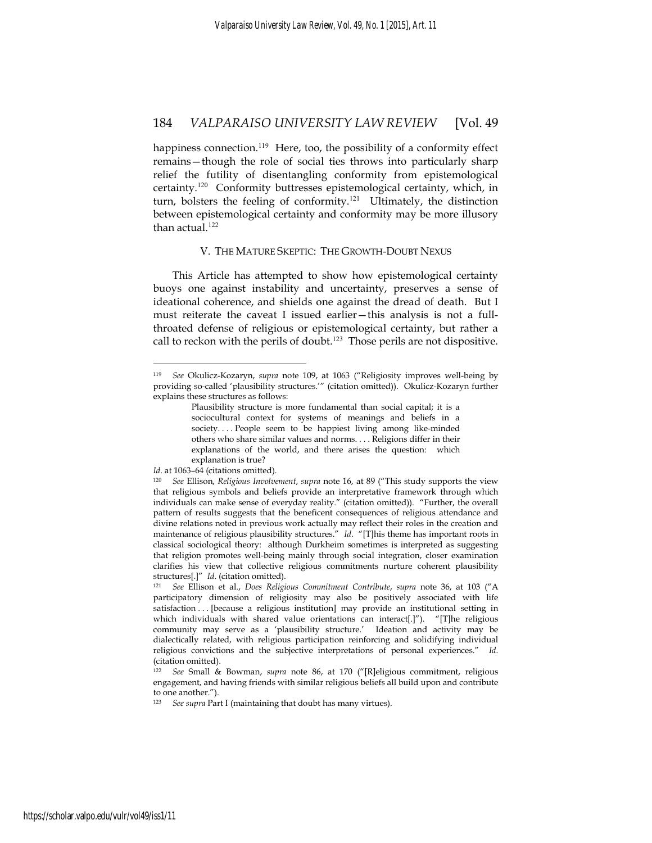happiness connection.<sup>119</sup> Here, too, the possibility of a conformity effect remains—though the role of social ties throws into particularly sharp relief the futility of disentangling conformity from epistemological certainty.<sup>120</sup> Conformity buttresses epistemological certainty, which, in turn, bolsters the feeling of conformity.<sup>121</sup> Ultimately, the distinction between epistemological certainty and conformity may be more illusory than actual.<sup>122</sup>

#### V. THE MATURE SKEPTIC: THE GROWTH-DOUBT NEXUS

This Article has attempted to show how epistemological certainty buoys one against instability and uncertainty, preserves a sense of ideational coherence, and shields one against the dread of death. But I must reiterate the caveat I issued earlier—this analysis is not a fullthroated defense of religious or epistemological certainty, but rather a call to reckon with the perils of doubt.<sup>123</sup> Those perils are not dispositive.

<sup>119</sup> *See* Okulicz-Kozaryn, *supra* note 109, at 1063 ("Religiosity improves well-being by providing so-called 'plausibility structures.'" (citation omitted)). Okulicz-Kozaryn further explains these structures as follows:

Plausibility structure is more fundamental than social capital; it is a sociocultural context for systems of meanings and beliefs in a society. . . . People seem to be happiest living among like-minded others who share similar values and norms. . . . Religions differ in their explanations of the world, and there arises the question: which explanation is true?

Id. at 1063-64 (citations omitted).

<sup>120</sup> *See* Ellison, *Religious Involvement*, *supra* note 16, at 89 ("This study supports the view that religious symbols and beliefs provide an interpretative framework through which individuals can make sense of everyday reality." (citation omitted)). "Further, the overall pattern of results suggests that the beneficent consequences of religious attendance and divine relations noted in previous work actually may reflect their roles in the creation and maintenance of religious plausibility structures." *Id*. "[T]his theme has important roots in classical sociological theory: although Durkheim sometimes is interpreted as suggesting that religion promotes well-being mainly through social integration, closer examination clarifies his view that collective religious commitments nurture coherent plausibility structures[.]" *Id*. (citation omitted). 121 *See* Ellison et al., *Does Religious Commitment Contribute*, *supra* note 36, at 103 ("A

participatory dimension of religiosity may also be positively associated with life satisfaction . . . [because a religious institution] may provide an institutional setting in which individuals with shared value orientations can interact[.]"). "[T]he religious community may serve as a 'plausibility structure.' Ideation and activity may be dialectically related, with religious participation reinforcing and solidifying individual religious convictions and the subjective interpretations of personal experiences." *Id*. (citation omitted).

<sup>122</sup> *See* Small & Bowman, *supra* note 86, at 170 ("[R]eligious commitment, religious engagement, and having friends with similar religious beliefs all build upon and contribute to one another.").

<sup>123</sup> *See supra* Part I (maintaining that doubt has many virtues).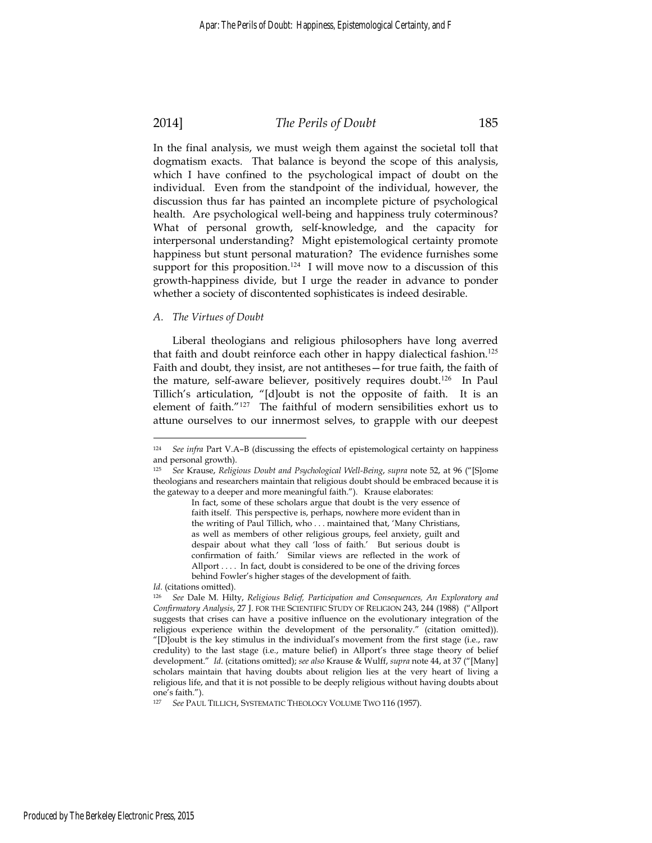# 2014] *The Perils of Doubt* 185

In the final analysis, we must weigh them against the societal toll that dogmatism exacts. That balance is beyond the scope of this analysis, which I have confined to the psychological impact of doubt on the individual. Even from the standpoint of the individual, however, the discussion thus far has painted an incomplete picture of psychological health. Are psychological well-being and happiness truly coterminous? What of personal growth, self-knowledge, and the capacity for interpersonal understanding? Might epistemological certainty promote happiness but stunt personal maturation? The evidence furnishes some support for this proposition.<sup>124</sup> I will move now to a discussion of this growth-happiness divide, but I urge the reader in advance to ponder whether a society of discontented sophisticates is indeed desirable.

#### *A. The Virtues of Doubt*

Liberal theologians and religious philosophers have long averred that faith and doubt reinforce each other in happy dialectical fashion.<sup>125</sup> Faith and doubt, they insist, are not antitheses—for true faith, the faith of the mature, self-aware believer, positively requires doubt.<sup>126</sup> In Paul Tillich's articulation, "[d]oubt is not the opposite of faith. It is an element of faith."<sup>127</sup> The faithful of modern sensibilities exhort us to attune ourselves to our innermost selves, to grapple with our deepest

*Id*. (citations omitted).

<sup>124</sup> *See infra* Part V.A–B (discussing the effects of epistemological certainty on happiness and personal growth).

<sup>125</sup> *See* Krause, *Religious Doubt and Psychological Well-Being*, *supra* note 52, at 96 ("[S]ome theologians and researchers maintain that religious doubt should be embraced because it is the gateway to a deeper and more meaningful faith."). Krause elaborates:

In fact, some of these scholars argue that doubt is the very essence of faith itself. This perspective is, perhaps, nowhere more evident than in the writing of Paul Tillich, who . . . maintained that, 'Many Christians, as well as members of other religious groups, feel anxiety, guilt and despair about what they call 'loss of faith.' But serious doubt is confirmation of faith.' Similar views are reflected in the work of Allport .... In fact, doubt is considered to be one of the driving forces behind Fowler's higher stages of the development of faith.

<sup>126</sup> *See* Dale M. Hilty, *Religious Belief, Participation and Consequences, An Exploratory and Confirmatory Analysis*, 27 J. FOR THE SCIENTIFIC STUDY OF RELIGION 243, 244 (1988) ("Allport suggests that crises can have a positive influence on the evolutionary integration of the religious experience within the development of the personality." (citation omitted)). "[D]oubt is the key stimulus in the individual's movement from the first stage (i.e., raw credulity) to the last stage (i.e., mature belief) in Allport's three stage theory of belief development." *Id*. (citations omitted); *see also* Krause & Wulff, *supra* note 44, at 37 ("[Many] scholars maintain that having doubts about religion lies at the very heart of living a religious life, and that it is not possible to be deeply religious without having doubts about one's faith.").

<sup>127</sup> *See* PAUL TILLICH, SYSTEMATIC THEOLOGY VOLUME TWO 116 (1957).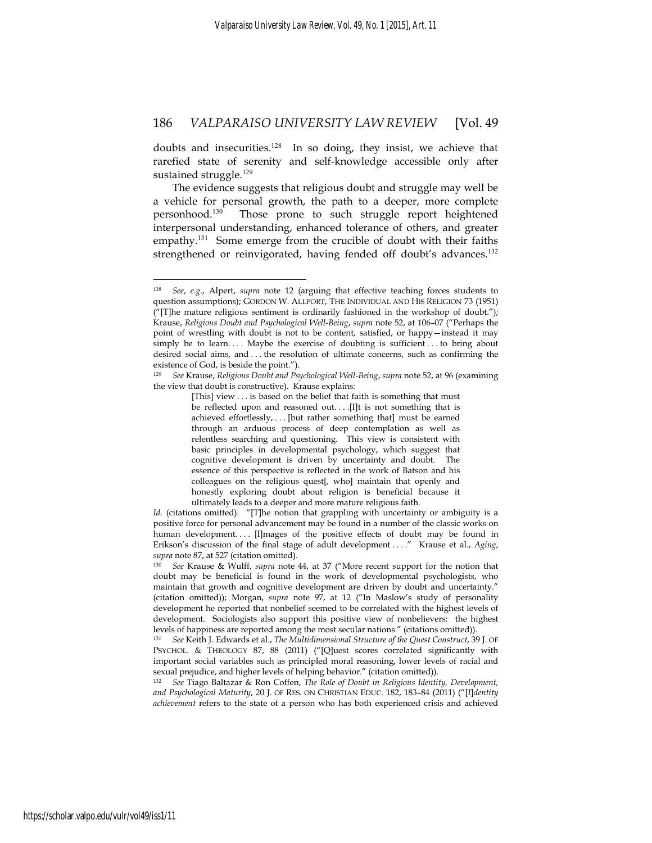doubts and insecurities.<sup>128</sup> In so doing, they insist, we achieve that rarefied state of serenity and self-knowledge accessible only after sustained struggle.<sup>129</sup>

The evidence suggests that religious doubt and struggle may well be a vehicle for personal growth, the path to a deeper, more complete personhood.<sup>130</sup> Those prone to such struggle report heightened interpersonal understanding, enhanced tolerance of others, and greater empathy.<sup>131</sup> Some emerge from the crucible of doubt with their faiths strengthened or reinvigorated, having fended off doubt's advances.<sup>132</sup>

<sup>128</sup> *See*, *e.g.*, Alpert, *supra* note 12 (arguing that effective teaching forces students to question assumptions); GORDON W. ALLPORT, THE INDIVIDUAL AND HIS RELIGION 73 (1951) ("[T]he mature religious sentiment is ordinarily fashioned in the workshop of doubt."); Krause, *Religious Doubt and Psychological Well-Being*, *supra* note 52, at 106–07 ("Perhaps the point of wrestling with doubt is not to be content, satisfied, or happy—instead it may simply be to learn.... Maybe the exercise of doubting is sufficient ... to bring about desired social aims, and . . . the resolution of ultimate concerns, such as confirming the existence of God, is beside the point.").

<sup>129</sup> *See* Krause, *Religious Doubt and Psychological Well-Being*, *supra* note 52, at 96 (examining the view that doubt is constructive). Krause explains:

<sup>[</sup>This] view . . . is based on the belief that faith is something that must be reflected upon and reasoned out. . . .[I]t is not something that is achieved effortlessly, . . . [but rather something that] must be earned through an arduous process of deep contemplation as well as relentless searching and questioning. This view is consistent with basic principles in developmental psychology, which suggest that cognitive development is driven by uncertainty and doubt. The essence of this perspective is reflected in the work of Batson and his colleagues on the religious quest[, who] maintain that openly and honestly exploring doubt about religion is beneficial because it ultimately leads to a deeper and more mature religious faith.

*Id.* (citations omitted). "[T]he notion that grappling with uncertainty or ambiguity is a positive force for personal advancement may be found in a number of the classic works on human development.... [I]mages of the positive effects of doubt may be found in Erikson's discussion of the final stage of adult development . . . ." Krause et al., *Aging*, *supra* note 87, at 527 (citation omitted). 130 *See* Krause & Wulff, *supra* note 44, at 37 ("More recent support for the notion that

doubt may be beneficial is found in the work of developmental psychologists, who maintain that growth and cognitive development are driven by doubt and uncertainty." (citation omitted)); Morgan, *supra* note 97, at 12 ("In Maslow's study of personality development he reported that nonbelief seemed to be correlated with the highest levels of development. Sociologists also support this positive view of nonbelievers: the highest levels of happiness are reported among the most secular nations." (citations omitted)).

<sup>131</sup> *See* Keith J. Edwards et al., *The Multidimensional Structure of the Quest Construct*, 39 J. OF PSYCHOL. & THEOLOGY 87, 88 (2011) ("[Q]uest scores correlated significantly with important social variables such as principled moral reasoning, lower levels of racial and sexual prejudice, and higher levels of helping behavior." (citation omitted)).

<sup>132</sup> *See* Tiago Baltazar & Ron Coffen, *The Role of Doubt in Religious Identity, Development, and Psychological Maturity*, 20 J. OF RES. ON CHRISTIAN EDUC. 182, 183–84 (2011) ("[*I*]*dentity achievement* refers to the state of a person who has both experienced crisis and achieved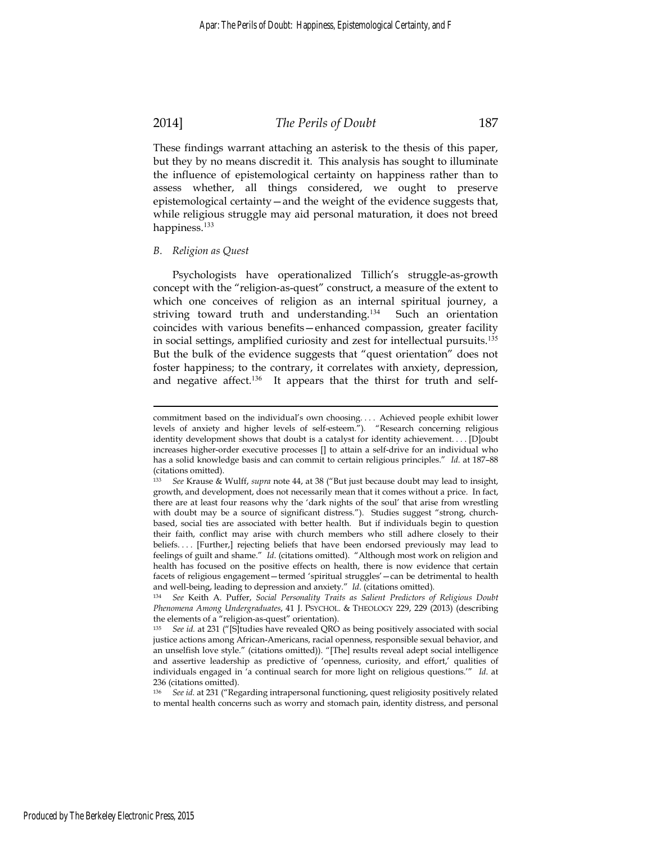#### 2014] *The Perils of Doubt* 187

These findings warrant attaching an asterisk to the thesis of this paper, but they by no means discredit it. This analysis has sought to illuminate the influence of epistemological certainty on happiness rather than to assess whether, all things considered, we ought to preserve epistemological certainty—and the weight of the evidence suggests that, while religious struggle may aid personal maturation, it does not breed happiness.<sup>133</sup>

#### *B. Religion as Quest*

Psychologists have operationalized Tillich's struggle-as-growth concept with the "religion-as-quest" construct, a measure of the extent to which one conceives of religion as an internal spiritual journey, a striving toward truth and understanding.<sup>134</sup> Such an orientation coincides with various benefits—enhanced compassion, greater facility in social settings, amplified curiosity and zest for intellectual pursuits.<sup>135</sup> But the bulk of the evidence suggests that "quest orientation" does not foster happiness; to the contrary, it correlates with anxiety, depression, and negative affect.<sup>136</sup> It appears that the thirst for truth and self-

commitment based on the individual's own choosing. . . . Achieved people exhibit lower levels of anxiety and higher levels of self-esteem."). "Research concerning religious identity development shows that doubt is a catalyst for identity achievement. . . . [D]oubt increases higher-order executive processes [] to attain a self-drive for an individual who has a solid knowledge basis and can commit to certain religious principles." *Id*. at 187–88 (citations omitted).

<sup>133</sup> *See* Krause & Wulff, *supra* note 44, at 38 ("But just because doubt may lead to insight, growth, and development, does not necessarily mean that it comes without a price. In fact, there are at least four reasons why the 'dark nights of the soul' that arise from wrestling with doubt may be a source of significant distress."). Studies suggest "strong, churchbased, social ties are associated with better health. But if individuals begin to question their faith, conflict may arise with church members who still adhere closely to their beliefs.... [Further,] rejecting beliefs that have been endorsed previously may lead to feelings of guilt and shame." *Id*. (citations omitted). "Although most work on religion and health has focused on the positive effects on health, there is now evidence that certain facets of religious engagement—termed 'spiritual struggles'—can be detrimental to health

and well-being, leading to depression and anxiety." *Id*. (citations omitted). 134 *See* Keith A. Puffer, *Social Personality Traits as Salient Predictors of Religious Doubt Phenomena Among Undergraduates*, 41 J. PSYCHOL. & THEOLOGY 229, 229 (2013) (describing the elements of a "religion-as-quest" orientation).

<sup>135</sup> *See id.* at 231 ("[S]tudies have revealed QRO as being positively associated with social justice actions among African-Americans, racial openness, responsible sexual behavior, and an unselfish love style." (citations omitted)). "[The] results reveal adept social intelligence and assertive leadership as predictive of 'openness, curiosity, and effort,' qualities of individuals engaged in 'a continual search for more light on religious questions.'" *Id*. at 236 (citations omitted).

<sup>136</sup> *See id*. at 231 ("Regarding intrapersonal functioning, quest religiosity positively related to mental health concerns such as worry and stomach pain, identity distress, and personal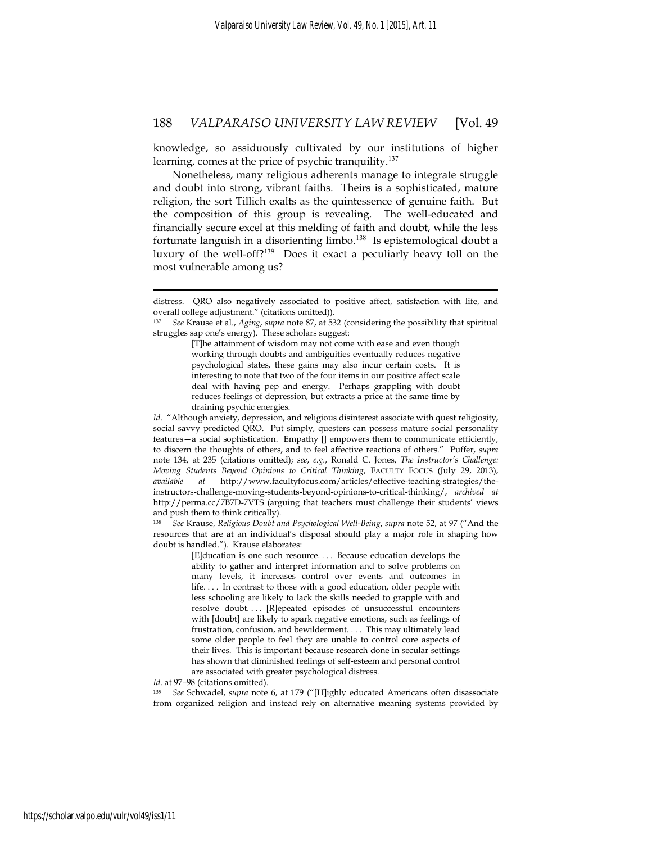knowledge, so assiduously cultivated by our institutions of higher learning, comes at the price of psychic tranquility.<sup>137</sup>

Nonetheless, many religious adherents manage to integrate struggle and doubt into strong, vibrant faiths. Theirs is a sophisticated, mature religion, the sort Tillich exalts as the quintessence of genuine faith. But the composition of this group is revealing. The well-educated and financially secure excel at this melding of faith and doubt, while the less fortunate languish in a disorienting limbo.<sup>138</sup> Is epistemological doubt a luxury of the well-off?<sup>139</sup> Does it exact a peculiarly heavy toll on the most vulnerable among us?

*Id.* "Although anxiety, depression, and religious disinterest associate with quest religiosity, social savvy predicted QRO. Put simply, questers can possess mature social personality features—a social sophistication. Empathy [] empowers them to communicate efficiently, to discern the thoughts of others, and to feel affective reactions of others." Puffer, *supra*  note 134, at 235 (citations omitted); *see*, *e.g.*, Ronald C. Jones, *The Instructor's Challenge: Moving Students Beyond Opinions to Critical Thinking*, FACULTY FOCUS (July 29, 2013), *available at* http://www.facultyfocus.com/articles/effective-teaching-strategies/theinstructors-challenge-moving-students-beyond-opinions-to-critical-thinking/, *archived at*  http://perma.cc/7B7D-7VTS (arguing that teachers must challenge their students' views and push them to think critically).

<sup>138</sup> *See* Krause, *Religious Doubt and Psychological Well-Being*, *supra* note 52, at 97 ("And the resources that are at an individual's disposal should play a major role in shaping how doubt is handled."). Krause elaborates:

> [E]ducation is one such resource. . . . Because education develops the ability to gather and interpret information and to solve problems on many levels, it increases control over events and outcomes in life. . . . In contrast to those with a good education, older people with less schooling are likely to lack the skills needed to grapple with and resolve doubt. . . . [R]epeated episodes of unsuccessful encounters with [doubt] are likely to spark negative emotions, such as feelings of frustration, confusion, and bewilderment. . . . This may ultimately lead some older people to feel they are unable to control core aspects of their lives. This is important because research done in secular settings has shown that diminished feelings of self-esteem and personal control are associated with greater psychological distress.

Id. at 97-98 (citations omitted).

distress. QRO also negatively associated to positive affect, satisfaction with life, and overall college adjustment." (citations omitted)).

<sup>137</sup> *See* Krause et al., *Aging*, *supra* note 87, at 532 (considering the possibility that spiritual struggles sap one's energy). These scholars suggest:

<sup>[</sup>T]he attainment of wisdom may not come with ease and even though working through doubts and ambiguities eventually reduces negative psychological states, these gains may also incur certain costs. It is interesting to note that two of the four items in our positive affect scale deal with having pep and energy. Perhaps grappling with doubt reduces feelings of depression, but extracts a price at the same time by draining psychic energies.

<sup>139</sup> *See* Schwadel, *supra* note 6, at 179 ("[H]ighly educated Americans often disassociate from organized religion and instead rely on alternative meaning systems provided by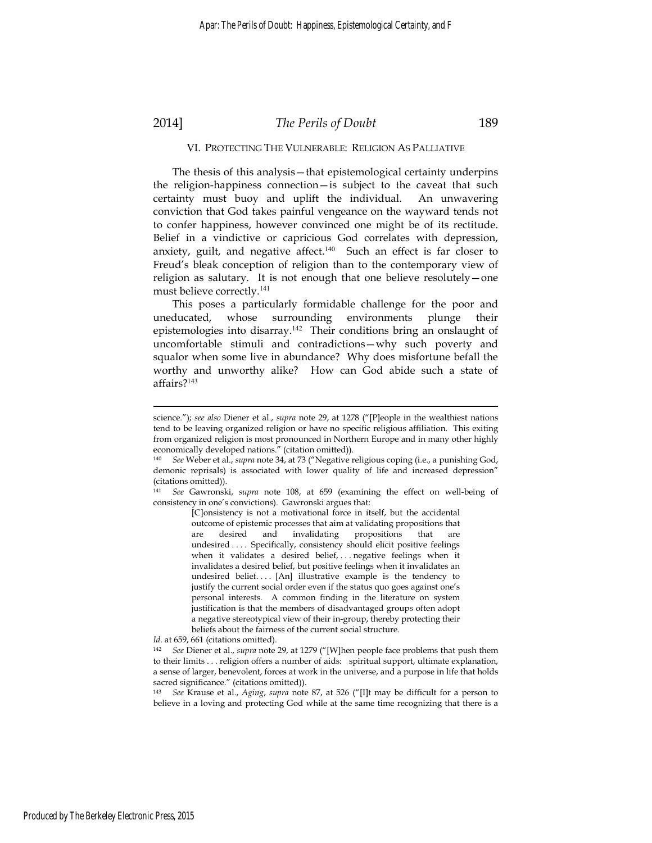# 2014] *The Perils of Doubt* 189

#### VI. PROTECTING THE VULNERABLE: RELIGION AS PALLIATIVE

The thesis of this analysis—that epistemological certainty underpins the religion-happiness connection—is subject to the caveat that such certainty must buoy and uplift the individual. An unwavering conviction that God takes painful vengeance on the wayward tends not to confer happiness, however convinced one might be of its rectitude. Belief in a vindictive or capricious God correlates with depression, anxiety, guilt, and negative affect. $140$  Such an effect is far closer to Freud's bleak conception of religion than to the contemporary view of religion as salutary. It is not enough that one believe resolutely—one must believe correctly.<sup>141</sup>

This poses a particularly formidable challenge for the poor and uneducated, whose surrounding environments plunge their epistemologies into disarray.<sup>142</sup> Their conditions bring an onslaught of uncomfortable stimuli and contradictions—why such poverty and squalor when some live in abundance? Why does misfortune befall the worthy and unworthy alike? How can God abide such a state of affairs?<sup>143</sup>

[C]onsistency is not a motivational force in itself, but the accidental outcome of epistemic processes that aim at validating propositions that are desired and invalidating propositions that are undesired .... Specifically, consistency should elicit positive feelings when it validates a desired belief, . . . negative feelings when it invalidates a desired belief, but positive feelings when it invalidates an undesired belief.... [An] illustrative example is the tendency to justify the current social order even if the status quo goes against one's personal interests. A common finding in the literature on system justification is that the members of disadvantaged groups often adopt a negative stereotypical view of their in-group, thereby protecting their beliefs about the fairness of the current social structure.

Id. at 659, 661 (citations omitted).

1

<sup>142</sup> *See* Diener et al., *supra* note 29, at 1279 ("[W]hen people face problems that push them to their limits . . . religion offers a number of aids: spiritual support, ultimate explanation, a sense of larger, benevolent, forces at work in the universe, and a purpose in life that holds sacred significance." (citations omitted)).

<sup>143</sup> *See* Krause et al., *Aging*, *supra* note 87, at 526 ("[I]t may be difficult for a person to believe in a loving and protecting God while at the same time recognizing that there is a

science."); *see also* Diener et al., *supra* note 29, at 1278 ("[P]eople in the wealthiest nations tend to be leaving organized religion or have no specific religious affiliation. This exiting from organized religion is most pronounced in Northern Europe and in many other highly economically developed nations." (citation omitted)).

<sup>140</sup> *See* Weber et al., *supra* note 34, at 73 ("Negative religious coping (i.e., a punishing God, demonic reprisals) is associated with lower quality of life and increased depression" (citations omitted)).

<sup>141</sup> *See* Gawronski, *supra* note 108, at 659 (examining the effect on well-being of consistency in one's convictions). Gawronski argues that: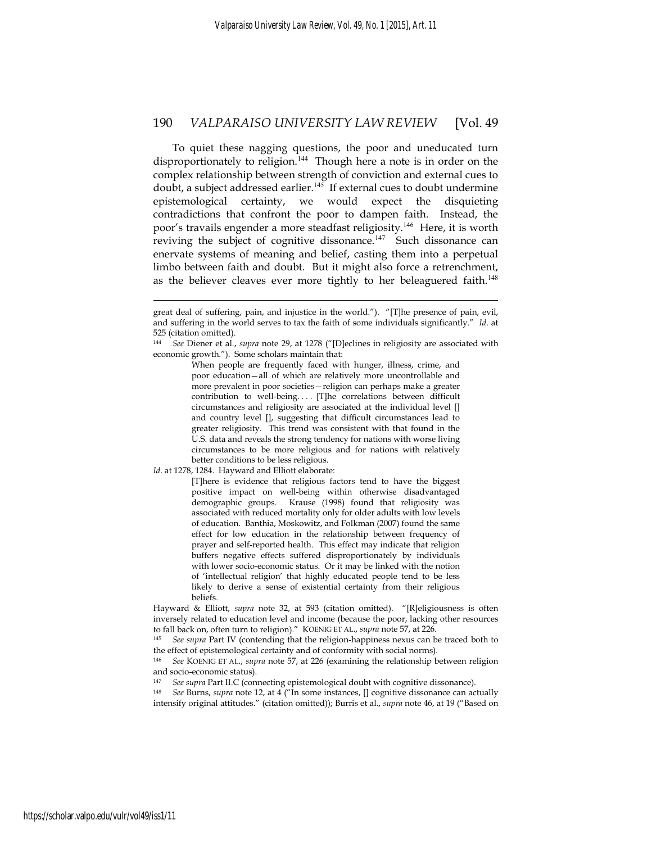To quiet these nagging questions, the poor and uneducated turn disproportionately to religion.<sup>144</sup> Though here a note is in order on the complex relationship between strength of conviction and external cues to doubt, a subject addressed earlier.<sup>145</sup> If external cues to doubt undermine epistemological certainty, we would expect the disquieting contradictions that confront the poor to dampen faith. Instead, the poor's travails engender a more steadfast religiosity.<sup>146</sup> Here, it is worth reviving the subject of cognitive dissonance.<sup>147</sup> Such dissonance can enervate systems of meaning and belief, casting them into a perpetual limbo between faith and doubt. But it might also force a retrenchment, as the believer cleaves ever more tightly to her beleaguered faith.<sup>148</sup>

When people are frequently faced with hunger, illness, crime, and poor education—all of which are relatively more uncontrollable and more prevalent in poor societies—religion can perhaps make a greater contribution to well-being.... [T]he correlations between difficult circumstances and religiosity are associated at the individual level [] and country level [], suggesting that difficult circumstances lead to greater religiosity. This trend was consistent with that found in the U.S. data and reveals the strong tendency for nations with worse living circumstances to be more religious and for nations with relatively better conditions to be less religious.

*Id*. at 1278, 1284. Hayward and Elliott elaborate:

1

[T]here is evidence that religious factors tend to have the biggest positive impact on well-being within otherwise disadvantaged demographic groups. Krause (1998) found that religiosity was associated with reduced mortality only for older adults with low levels of education. Banthia, Moskowitz, and Folkman (2007) found the same effect for low education in the relationship between frequency of prayer and self-reported health. This effect may indicate that religion buffers negative effects suffered disproportionately by individuals with lower socio-economic status. Or it may be linked with the notion of 'intellectual religion' that highly educated people tend to be less likely to derive a sense of existential certainty from their religious beliefs.

Hayward & Elliott, *supra* note 32, at 593 (citation omitted). "[R]eligiousness is often inversely related to education level and income (because the poor, lacking other resources to fall back on, often turn to religion)." KOENIG ET AL., *supra* note 57, at 226. 145 *See supra* Part IV (contending that the religion-happiness nexus can be traced both to

the effect of epistemological certainty and of conformity with social norms).

<sup>146</sup> *See* KOENIG ET AL., *supra* note 57, at 226 (examining the relationship between religion and socio-economic status).

<sup>147</sup> *See supra* Part II.C (connecting epistemological doubt with cognitive dissonance). 148 *See* Burns, *supra* note 12, at 4 ("In some instances, [] cognitive dissonance can actually

intensify original attitudes." (citation omitted)); Burris et al., *supra* note 46, at 19 ("Based on

great deal of suffering, pain, and injustice in the world."). "[T]he presence of pain, evil, and suffering in the world serves to tax the faith of some individuals significantly." *Id*. at 525 (citation omitted).

<sup>144</sup> *See* Diener et al., *supra* note 29, at 1278 ("[D]eclines in religiosity are associated with economic growth."). Some scholars maintain that: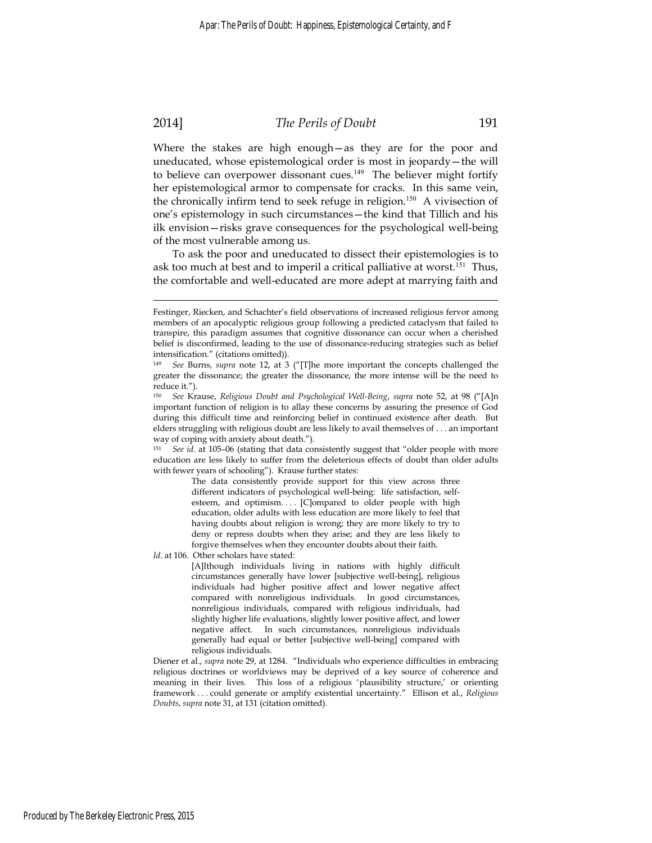# 2014] *The Perils of Doubt* 191

Where the stakes are high enough—as they are for the poor and uneducated, whose epistemological order is most in jeopardy—the will to believe can overpower dissonant cues.<sup>149</sup> The believer might fortify her epistemological armor to compensate for cracks. In this same vein, the chronically infirm tend to seek refuge in religion.<sup>150</sup> A vivisection of one's epistemology in such circumstances—the kind that Tillich and his ilk envision—risks grave consequences for the psychological well-being of the most vulnerable among us.

To ask the poor and uneducated to dissect their epistemologies is to ask too much at best and to imperil a critical palliative at worst.<sup>151</sup> Thus, the comfortable and well-educated are more adept at marrying faith and

The data consistently provide support for this view across three different indicators of psychological well-being: life satisfaction, selfesteem, and optimism.... [C]ompared to older people with high education, older adults with less education are more likely to feel that having doubts about religion is wrong; they are more likely to try to deny or repress doubts when they arise; and they are less likely to forgive themselves when they encounter doubts about their faith.

*Id*. at 106. Other scholars have stated:

[A]lthough individuals living in nations with highly difficult circumstances generally have lower [subjective well-being], religious individuals had higher positive affect and lower negative affect compared with nonreligious individuals. In good circumstances, nonreligious individuals, compared with religious individuals, had slightly higher life evaluations, slightly lower positive affect, and lower negative affect. In such circumstances, nonreligious individuals generally had equal or better [subjective well-being] compared with religious individuals.

Diener et al., *supra* note 29, at 1284. "Individuals who experience difficulties in embracing religious doctrines or worldviews may be deprived of a key source of coherence and meaning in their lives. This loss of a religious 'plausibility structure,' or orienting framework . . . could generate or amplify existential uncertainty." Ellison et al., *Religious Doubts*, *supra* note 31, at 131 (citation omitted).

Festinger, Riecken, and Schachter's field observations of increased religious fervor among members of an apocalyptic religious group following a predicted cataclysm that failed to transpire, this paradigm assumes that cognitive dissonance can occur when a cherished belief is disconfirmed, leading to the use of dissonance-reducing strategies such as belief intensification." (citations omitted)).

<sup>149</sup> *See* Burns, *supra* note 12, at 3 ("[T]he more important the concepts challenged the greater the dissonance; the greater the dissonance, the more intense will be the need to reduce it.").

<sup>150</sup> *See* Krause, *Religious Doubt and Psychological Well-Being*, *supra* note 52, at 98 ("[A]n important function of religion is to allay these concerns by assuring the presence of God during this difficult time and reinforcing belief in continued existence after death. But elders struggling with religious doubt are less likely to avail themselves of . . . an important way of coping with anxiety about death.").

<sup>151</sup> *See id*. at 105–06 (stating that data consistently suggest that "older people with more education are less likely to suffer from the deleterious effects of doubt than older adults with fewer years of schooling"). Krause further states: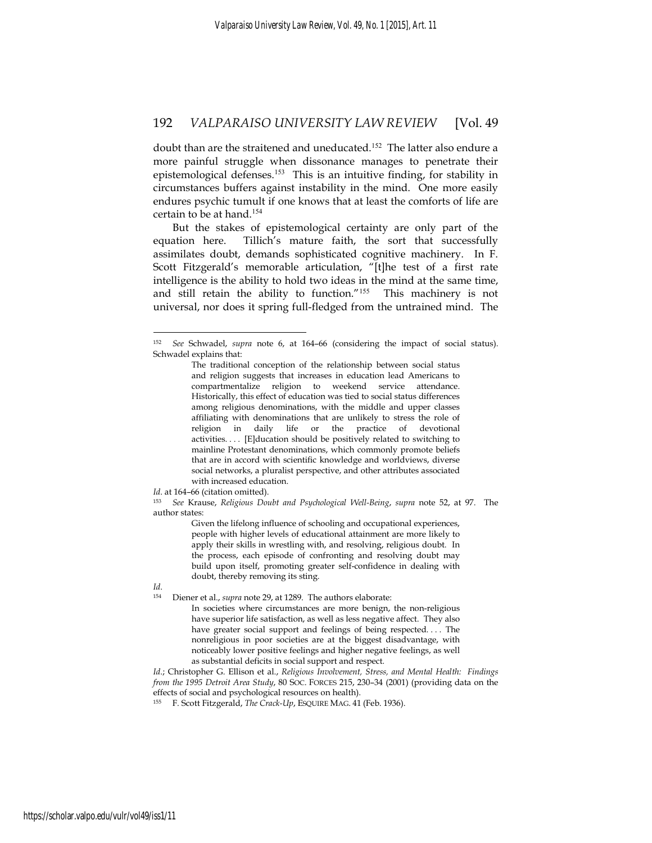doubt than are the straitened and uneducated.<sup>152</sup> The latter also endure a more painful struggle when dissonance manages to penetrate their epistemological defenses.<sup>153</sup> This is an intuitive finding, for stability in circumstances buffers against instability in the mind. One more easily endures psychic tumult if one knows that at least the comforts of life are certain to be at hand.<sup>154</sup>

But the stakes of epistemological certainty are only part of the equation here. Tillich's mature faith, the sort that successfully assimilates doubt, demands sophisticated cognitive machinery. In F. Scott Fitzgerald's memorable articulation, "[t]he test of a first rate intelligence is the ability to hold two ideas in the mind at the same time, and still retain the ability to function."<sup>155</sup> This machinery is not universal, nor does it spring full-fledged from the untrained mind. The

Id. at 164-66 (citation omitted).

<sup>153</sup> *See* Krause, *Religious Doubt and Psychological Well-Being*, *supra* note 52, at 97. The author states:

> Given the lifelong influence of schooling and occupational experiences, people with higher levels of educational attainment are more likely to apply their skills in wrestling with, and resolving, religious doubt. In the process, each episode of confronting and resolving doubt may build upon itself, promoting greater self-confidence in dealing with doubt, thereby removing its sting.

*Id*.

<u>.</u>

154 Diener et al., *supra* note 29, at 1289. The authors elaborate:

In societies where circumstances are more benign, the non-religious have superior life satisfaction, as well as less negative affect. They also have greater social support and feelings of being respected. . . . The nonreligious in poor societies are at the biggest disadvantage, with noticeably lower positive feelings and higher negative feelings, as well as substantial deficits in social support and respect.

*Id*.; Christopher G. Ellison et al., *Religious Involvement, Stress, and Mental Health: Findings from the 1995 Detroit Area Study*, 80 SOC. FORCES 215, 230–34 (2001) (providing data on the effects of social and psychological resources on health).

155 F. Scott Fitzgerald, *The Crack-Up*, ESQUIRE MAG. 41 (Feb. 1936).

See Schwadel, *supra* note 6, at 164-66 (considering the impact of social status). Schwadel explains that:

The traditional conception of the relationship between social status and religion suggests that increases in education lead Americans to compartmentalize religion to weekend service attendance. Historically, this effect of education was tied to social status differences among religious denominations, with the middle and upper classes affiliating with denominations that are unlikely to stress the role of religion in daily life or the practice of devotional activities. . . . [E]ducation should be positively related to switching to mainline Protestant denominations, which commonly promote beliefs that are in accord with scientific knowledge and worldviews, diverse social networks, a pluralist perspective, and other attributes associated with increased education.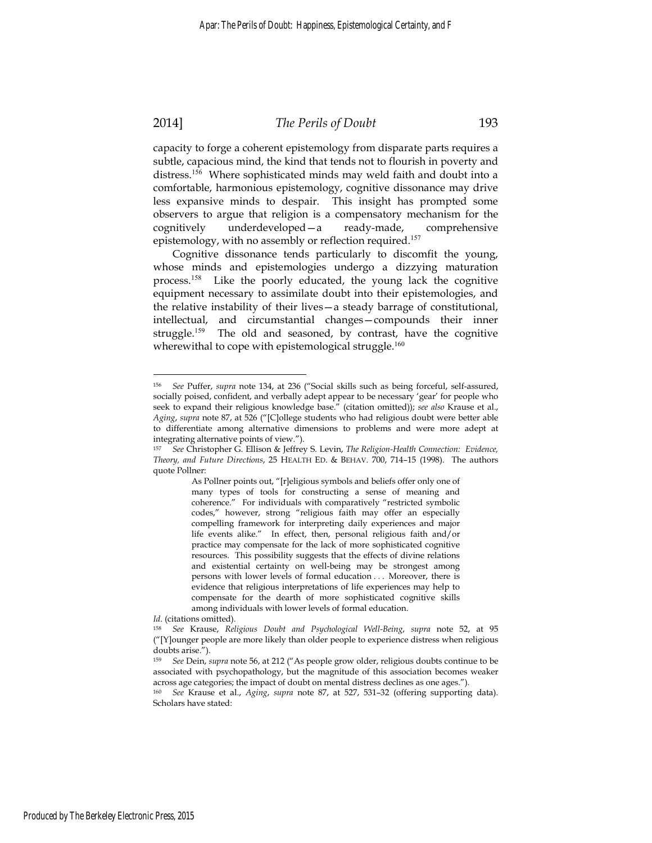# 2014] *The Perils of Doubt* 193

capacity to forge a coherent epistemology from disparate parts requires a subtle, capacious mind, the kind that tends not to flourish in poverty and distress.<sup>156</sup> Where sophisticated minds may weld faith and doubt into a comfortable, harmonious epistemology, cognitive dissonance may drive less expansive minds to despair. This insight has prompted some observers to argue that religion is a compensatory mechanism for the cognitively underdeveloped—a ready-made, comprehensive epistemology, with no assembly or reflection required.<sup>157</sup>

Cognitive dissonance tends particularly to discomfit the young, whose minds and epistemologies undergo a dizzying maturation process.<sup>158</sup> Like the poorly educated, the young lack the cognitive equipment necessary to assimilate doubt into their epistemologies, and the relative instability of their lives—a steady barrage of constitutional, intellectual, and circumstantial changes—compounds their inner struggle.<sup>159</sup> The old and seasoned, by contrast, have the cognitive wherewithal to cope with epistemological struggle.<sup>160</sup>

As Pollner points out, "[r]eligious symbols and beliefs offer only one of many types of tools for constructing a sense of meaning and coherence." For individuals with comparatively "restricted symbolic codes," however, strong "religious faith may offer an especially compelling framework for interpreting daily experiences and major life events alike." In effect, then, personal religious faith and/or practice may compensate for the lack of more sophisticated cognitive resources. This possibility suggests that the effects of divine relations and existential certainty on well-being may be strongest among persons with lower levels of formal education . . . Moreover, there is evidence that religious interpretations of life experiences may help to compensate for the dearth of more sophisticated cognitive skills among individuals with lower levels of formal education.

*Id*. (citations omitted).

<sup>156</sup> *See* Puffer, *supra* note 134, at 236 ("Social skills such as being forceful, self-assured, socially poised, confident, and verbally adept appear to be necessary 'gear' for people who seek to expand their religious knowledge base." (citation omitted)); *see also* Krause et al., *Aging*, *supra* note 87, at 526 ("[C]ollege students who had religious doubt were better able to differentiate among alternative dimensions to problems and were more adept at integrating alternative points of view.").

<sup>157</sup> *See* Christopher G. Ellison & Jeffrey S. Levin, *The Religion-Health Connection: Evidence, Theory, and Future Directions*, 25 HEALTH ED. & BEHAV. 700, 714–15 (1998). The authors quote Pollner:

<sup>158</sup> *See* Krause, *Religious Doubt and Psychological Well-Being*, *supra* note 52, at 95 ("[Y]ounger people are more likely than older people to experience distress when religious doubts arise.").

<sup>159</sup> *See* Dein, *supra* note 56, at 212 ("As people grow older, religious doubts continue to be associated with psychopathology, but the magnitude of this association becomes weaker across age categories; the impact of doubt on mental distress declines as one ages.").

<sup>160</sup> *See* Krause et al., *Aging*, *supra* note 87, at 527, 531–32 (offering supporting data). Scholars have stated: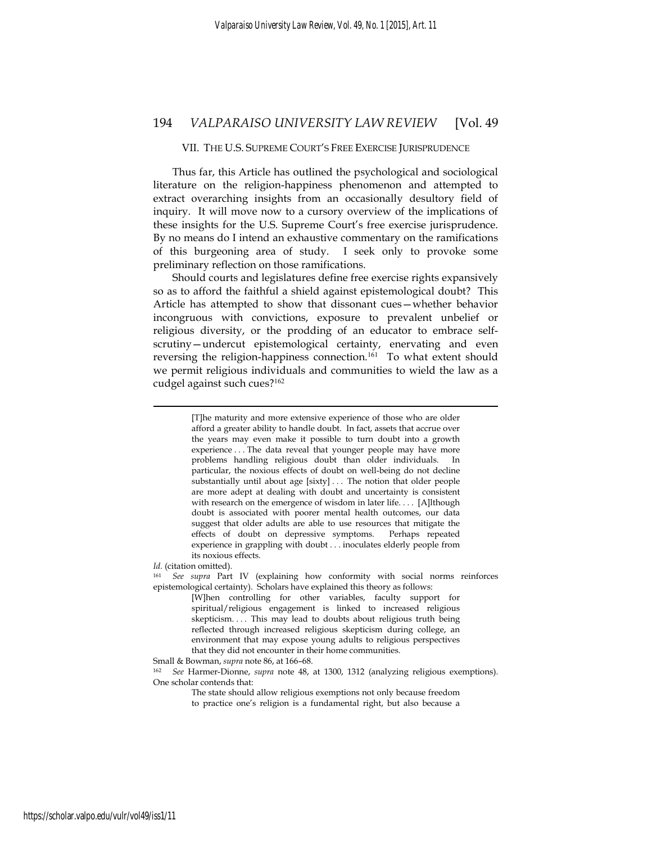#### VII. THE U.S. SUPREME COURT'S FREE EXERCISE JURISPRUDENCE

Thus far, this Article has outlined the psychological and sociological literature on the religion-happiness phenomenon and attempted to extract overarching insights from an occasionally desultory field of inquiry. It will move now to a cursory overview of the implications of these insights for the U.S. Supreme Court's free exercise jurisprudence. By no means do I intend an exhaustive commentary on the ramifications of this burgeoning area of study. I seek only to provoke some preliminary reflection on those ramifications.

Should courts and legislatures define free exercise rights expansively so as to afford the faithful a shield against epistemological doubt? This Article has attempted to show that dissonant cues—whether behavior incongruous with convictions, exposure to prevalent unbelief or religious diversity, or the prodding of an educator to embrace selfscrutiny—undercut epistemological certainty, enervating and even reversing the religion-happiness connection.<sup>161</sup> To what extent should we permit religious individuals and communities to wield the law as a cudgel against such cues?<sup>162</sup>

> [T]he maturity and more extensive experience of those who are older afford a greater ability to handle doubt. In fact, assets that accrue over the years may even make it possible to turn doubt into a growth experience . . . The data reveal that younger people may have more problems handling religious doubt than older individuals. In particular, the noxious effects of doubt on well-being do not decline substantially until about age [sixty] . . . The notion that older people are more adept at dealing with doubt and uncertainty is consistent with research on the emergence of wisdom in later life. . . . [A]lthough doubt is associated with poorer mental health outcomes, our data suggest that older adults are able to use resources that mitigate the effects of doubt on depressive symptoms. Perhaps repeated experience in grappling with doubt . . . inoculates elderly people from its noxious effects.

1

*Id.* (citation omitted). *Id.* (explaining how conformity with social norms reinforces epistemological certainty). Scholars have explained this theory as follows:

[W]hen controlling for other variables, faculty support for spiritual/religious engagement is linked to increased religious skepticism. . . . This may lead to doubts about religious truth being reflected through increased religious skepticism during college, an environment that may expose young adults to religious perspectives that they did not encounter in their home communities.

Small & Bowman, *supra* note 86, at 166–68.<br><sup>162</sup> *See* Harmer-Dionne, *supra* note 48, at 1300, 1312 (analyzing religious exemptions). One scholar contends that:

> The state should allow religious exemptions not only because freedom to practice one's religion is a fundamental right, but also because a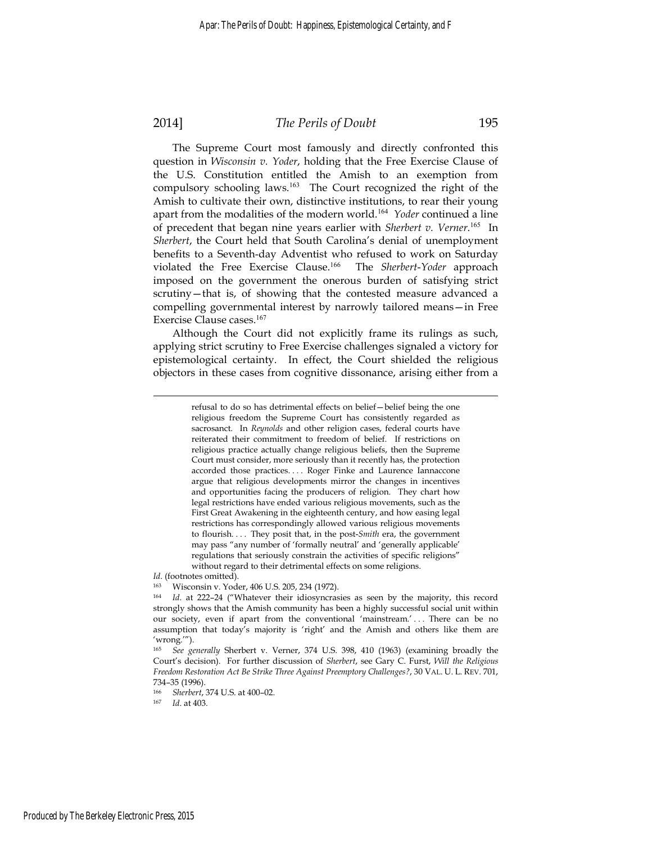# 2014] *The Perils of Doubt* 195

The Supreme Court most famously and directly confronted this question in *Wisconsin v. Yoder*, holding that the Free Exercise Clause of the U.S. Constitution entitled the Amish to an exemption from compulsory schooling laws.<sup>163</sup> The Court recognized the right of the Amish to cultivate their own, distinctive institutions, to rear their young apart from the modalities of the modern world.<sup>164</sup> *Yoder* continued a line of precedent that began nine years earlier with *Sherbert v. Verner*. <sup>165</sup> In *Sherbert*, the Court held that South Carolina's denial of unemployment benefits to a Seventh-day Adventist who refused to work on Saturday violated the Free Exercise Clause.<sup>166</sup> The *Sherbert*-*Yoder* approach imposed on the government the onerous burden of satisfying strict scrutiny—that is, of showing that the contested measure advanced a compelling governmental interest by narrowly tailored means—in Free Exercise Clause cases.<sup>167</sup>

Although the Court did not explicitly frame its rulings as such, applying strict scrutiny to Free Exercise challenges signaled a victory for epistemological certainty. In effect, the Court shielded the religious objectors in these cases from cognitive dissonance, arising either from a

*Id*. (footnotes omitted).

163 Wisconsin v. Yoder, 406 U.S. 205, 234 (1972).

<sup>166</sup> *Sherbert*, 374 U.S. at 400–02. 167 *Id*. at 403.

refusal to do so has detrimental effects on belief—belief being the one religious freedom the Supreme Court has consistently regarded as sacrosanct. In *Reynolds* and other religion cases, federal courts have reiterated their commitment to freedom of belief. If restrictions on religious practice actually change religious beliefs, then the Supreme Court must consider, more seriously than it recently has, the protection accorded those practices. . . . Roger Finke and Laurence Iannaccone argue that religious developments mirror the changes in incentives and opportunities facing the producers of religion. They chart how legal restrictions have ended various religious movements, such as the First Great Awakening in the eighteenth century, and how easing legal restrictions has correspondingly allowed various religious movements to flourish. . . . They posit that, in the post-*Smith* era, the government may pass "any number of 'formally neutral' and 'generally applicable' regulations that seriously constrain the activities of specific religions" without regard to their detrimental effects on some religions.

<sup>164</sup> *Id*. at 222–24 ("Whatever their idiosyncrasies as seen by the majority, this record strongly shows that the Amish community has been a highly successful social unit within our society, even if apart from the conventional 'mainstream.' ... There can be no assumption that today's majority is 'right' and the Amish and others like them are 'wrong.'").

<sup>165</sup> *See generally* Sherbert v. Verner, 374 U.S. 398, 410 (1963) (examining broadly the Court's decision). For further discussion of *Sherbert*, see Gary C. Furst, *Will the Religious Freedom Restoration Act Be Strike Three Against Preemptory Challenges?*, 30 VAL. U. L. REV. 701, 734–35 (1996).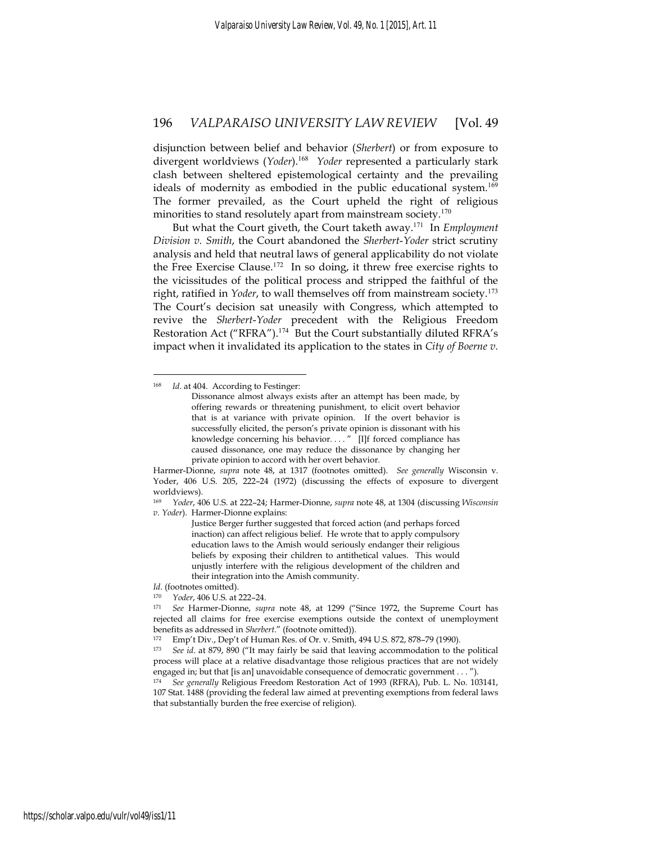disjunction between belief and behavior (*Sherbert*) or from exposure to divergent worldviews (*Yoder*).<sup>168</sup> *Yoder* represented a particularly stark clash between sheltered epistemological certainty and the prevailing ideals of modernity as embodied in the public educational system.<sup>169</sup> The former prevailed, as the Court upheld the right of religious minorities to stand resolutely apart from mainstream society.<sup>170</sup>

But what the Court giveth, the Court taketh away.<sup>171</sup> In *Employment Division v. Smith*, the Court abandoned the *Sherbert*-*Yoder* strict scrutiny analysis and held that neutral laws of general applicability do not violate the Free Exercise Clause.<sup>172</sup> In so doing, it threw free exercise rights to the vicissitudes of the political process and stripped the faithful of the right, ratified in *Yoder*, to wall themselves off from mainstream society.<sup>173</sup> The Court's decision sat uneasily with Congress, which attempted to revive the *Sherbert*-*Yoder* precedent with the Religious Freedom Restoration Act ("RFRA").<sup>174</sup> But the Court substantially diluted RFRA's impact when it invalidated its application to the states in *City of Boerne v.* 

1

Justice Berger further suggested that forced action (and perhaps forced inaction) can affect religious belief. He wrote that to apply compulsory education laws to the Amish would seriously endanger their religious beliefs by exposing their children to antithetical values. This would unjustly interfere with the religious development of the children and their integration into the Amish community.

<sup>168</sup> *Id*. at 404. According to Festinger:

Dissonance almost always exists after an attempt has been made, by offering rewards or threatening punishment, to elicit overt behavior that is at variance with private opinion. If the overt behavior is successfully elicited, the person's private opinion is dissonant with his knowledge concerning his behavior. . . . " [I]f forced compliance has caused dissonance, one may reduce the dissonance by changing her private opinion to accord with her overt behavior.

Harmer-Dionne, *supra* note 48, at 1317 (footnotes omitted). *See generally* Wisconsin v. Yoder, 406 U.S. 205, 222–24 (1972) (discussing the effects of exposure to divergent worldviews).

<sup>169</sup> *Yoder*, 406 U.S. at 222–24; Harmer-Dionne, *supra* note 48, at 1304 (discussing *Wisconsin v. Yoder*). Harmer-Dionne explains:

*Id*. (footnotes omitted).

<sup>170</sup> *Yoder*, 406 U.S. at 222–24. 171 *See* Harmer-Dionne, *supra* note 48, at 1299 ("Since 1972, the Supreme Court has rejected all claims for free exercise exemptions outside the context of unemployment benefits as addressed in *Sherbert*." (footnote omitted)). 172 Emp't Div., Dep't of Human Res. of Or. v. Smith, 494 U.S. 872, 878–79 (1990).

<sup>173</sup> *See id*. at 879, 890 ("It may fairly be said that leaving accommodation to the political process will place at a relative disadvantage those religious practices that are not widely engaged in; but that [is an] unavoidable consequence of democratic government . . . ").

<sup>174</sup> *See generally* Religious Freedom Restoration Act of 1993 (RFRA), Pub. L. No. 103141, 107 Stat. 1488 (providing the federal law aimed at preventing exemptions from federal laws that substantially burden the free exercise of religion).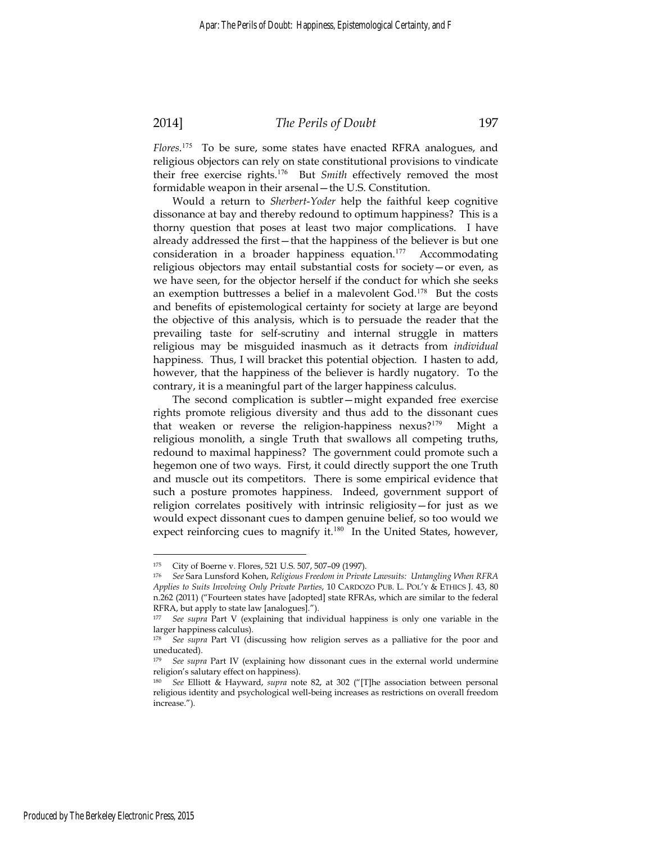#### 2014] *The Perils of Doubt* 197

*Flores*. <sup>175</sup> To be sure, some states have enacted RFRA analogues, and religious objectors can rely on state constitutional provisions to vindicate their free exercise rights.<sup>176</sup> But *Smith* effectively removed the most formidable weapon in their arsenal—the U.S. Constitution.

Would a return to *Sherbert*-*Yoder* help the faithful keep cognitive dissonance at bay and thereby redound to optimum happiness? This is a thorny question that poses at least two major complications. I have already addressed the first—that the happiness of the believer is but one consideration in a broader happiness equation.<sup>177</sup> Accommodating religious objectors may entail substantial costs for society—or even, as we have seen, for the objector herself if the conduct for which she seeks an exemption buttresses a belief in a malevolent God. $178$  But the costs and benefits of epistemological certainty for society at large are beyond the objective of this analysis, which is to persuade the reader that the prevailing taste for self-scrutiny and internal struggle in matters religious may be misguided inasmuch as it detracts from *individual*  happiness. Thus, I will bracket this potential objection. I hasten to add, however, that the happiness of the believer is hardly nugatory. To the contrary, it is a meaningful part of the larger happiness calculus.

The second complication is subtler—might expanded free exercise rights promote religious diversity and thus add to the dissonant cues that weaken or reverse the religion-happiness nexus?<sup>179</sup> Might a religious monolith, a single Truth that swallows all competing truths, redound to maximal happiness? The government could promote such a hegemon one of two ways. First, it could directly support the one Truth and muscle out its competitors. There is some empirical evidence that such a posture promotes happiness. Indeed, government support of religion correlates positively with intrinsic religiosity—for just as we would expect dissonant cues to dampen genuine belief, so too would we expect reinforcing cues to magnify it.<sup>180</sup> In the United States, however,

<u>.</u>

<sup>175</sup> City of Boerne v. Flores, 521 U.S. 507, 507–09 (1997).

<sup>176</sup> *See* Sara Lunsford Kohen, *Religious Freedom in Private Lawsuits: Untangling When RFRA Applies to Suits Involving Only Private Parties*, 10 CARDOZO PUB. L. POL'Y & ETHICS J. 43, 80 n.262 (2011) ("Fourteen states have [adopted] state RFRAs, which are similar to the federal RFRA, but apply to state law [analogues].").

<sup>177</sup> *See supra* Part V (explaining that individual happiness is only one variable in the larger happiness calculus).

<sup>178</sup> *See supra* Part VI (discussing how religion serves as a palliative for the poor and uneducated).

<sup>&</sup>lt;sup>179</sup> *See supra* Part IV (explaining how dissonant cues in the external world undermine religion's salutary effect on happiness).

<sup>180</sup> *See* Elliott & Hayward, *supra* note 82, at 302 ("[T]he association between personal religious identity and psychological well-being increases as restrictions on overall freedom increase.").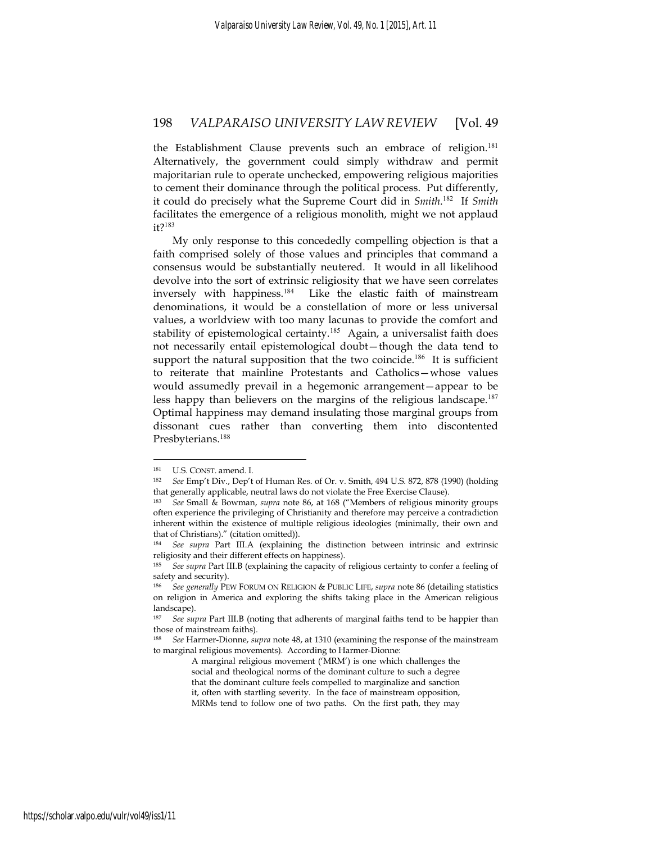the Establishment Clause prevents such an embrace of religion.<sup>181</sup> Alternatively, the government could simply withdraw and permit majoritarian rule to operate unchecked, empowering religious majorities to cement their dominance through the political process. Put differently, it could do precisely what the Supreme Court did in *Smith*. <sup>182</sup> If *Smith*  facilitates the emergence of a religious monolith, might we not applaud it?<sup>183</sup>

My only response to this concededly compelling objection is that a faith comprised solely of those values and principles that command a consensus would be substantially neutered. It would in all likelihood devolve into the sort of extrinsic religiosity that we have seen correlates inversely with happiness.<sup>184</sup> Like the elastic faith of mainstream denominations, it would be a constellation of more or less universal values, a worldview with too many lacunas to provide the comfort and stability of epistemological certainty.<sup>185</sup> Again, a universalist faith does not necessarily entail epistemological doubt—though the data tend to support the natural supposition that the two coincide.<sup>186</sup> It is sufficient to reiterate that mainline Protestants and Catholics—whose values would assumedly prevail in a hegemonic arrangement—appear to be less happy than believers on the margins of the religious landscape.<sup>187</sup> Optimal happiness may demand insulating those marginal groups from dissonant cues rather than converting them into discontented Presbyterians.<sup>188</sup>

<sup>181</sup> U.S. CONST. amend. I. 182 *See* Emp't Div., Dep't of Human Res. of Or. v. Smith, 494 U.S. 872, 878 (1990) (holding that generally applicable, neutral laws do not violate the Free Exercise Clause).

<sup>183</sup> *See* Small & Bowman, *supra* note 86, at 168 ("Members of religious minority groups often experience the privileging of Christianity and therefore may perceive a contradiction inherent within the existence of multiple religious ideologies (minimally, their own and that of Christians)." (citation omitted)).

<sup>184</sup> *See supra* Part III.A (explaining the distinction between intrinsic and extrinsic religiosity and their different effects on happiness).

<sup>185</sup> *See supra* Part III.B (explaining the capacity of religious certainty to confer a feeling of safety and security).

<sup>186</sup> *See generally* PEW FORUM ON RELIGION & PUBLIC LIFE, *supra* note 86 (detailing statistics on religion in America and exploring the shifts taking place in the American religious landscape).

<sup>187</sup> *See supra* Part III.B (noting that adherents of marginal faiths tend to be happier than those of mainstream faiths).

<sup>188</sup> *See* Harmer-Dionne, *supra* note 48, at 1310 (examining the response of the mainstream to marginal religious movements). According to Harmer-Dionne:

A marginal religious movement ('MRM') is one which challenges the social and theological norms of the dominant culture to such a degree that the dominant culture feels compelled to marginalize and sanction it, often with startling severity. In the face of mainstream opposition, MRMs tend to follow one of two paths. On the first path, they may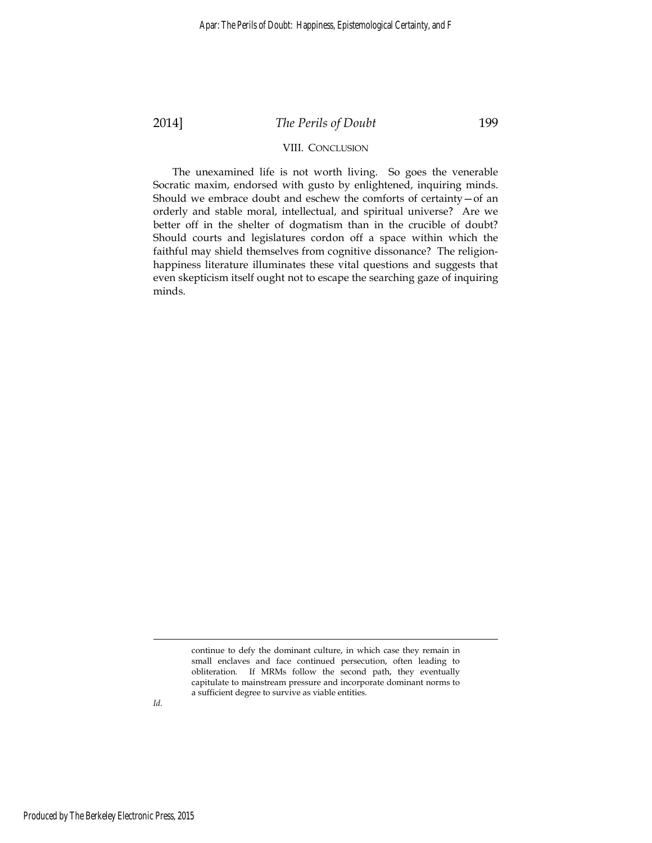# 2014] *The Perils of Doubt* 199

#### VIII. CONCLUSION

The unexamined life is not worth living. So goes the venerable Socratic maxim, endorsed with gusto by enlightened, inquiring minds. Should we embrace doubt and eschew the comforts of certainty—of an orderly and stable moral, intellectual, and spiritual universe? Are we better off in the shelter of dogmatism than in the crucible of doubt? Should courts and legislatures cordon off a space within which the faithful may shield themselves from cognitive dissonance? The religionhappiness literature illuminates these vital questions and suggests that even skepticism itself ought not to escape the searching gaze of inquiring minds.

*Id*.

<u>.</u>

continue to defy the dominant culture, in which case they remain in small enclaves and face continued persecution, often leading to obliteration. If MRMs follow the second path, they eventually capitulate to mainstream pressure and incorporate dominant norms to a sufficient degree to survive as viable entities.